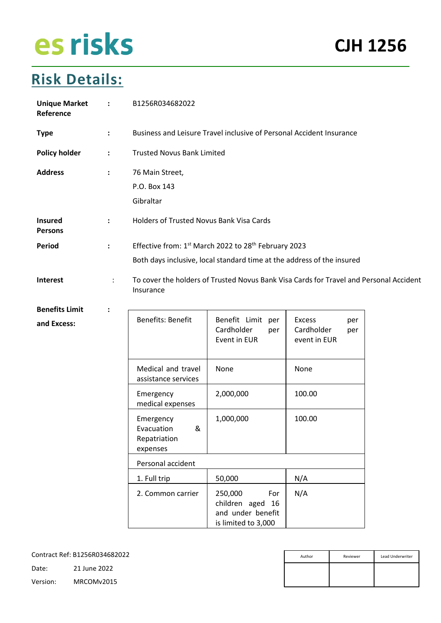### **Risk Details:**

| <b>Unique Market</b><br>Reference | $\ddot{\cdot}$       | B1256R034682022                                                      |                                                                                        |                                                           |  |
|-----------------------------------|----------------------|----------------------------------------------------------------------|----------------------------------------------------------------------------------------|-----------------------------------------------------------|--|
| <b>Type</b>                       | $\ddot{\phantom{a}}$ | Business and Leisure Travel inclusive of Personal Accident Insurance |                                                                                        |                                                           |  |
| <b>Policy holder</b>              | $\ddot{\phantom{a}}$ | <b>Trusted Novus Bank Limited</b>                                    |                                                                                        |                                                           |  |
| <b>Address</b>                    | $\ddot{\phantom{a}}$ | 76 Main Street,                                                      |                                                                                        |                                                           |  |
|                                   |                      | P.O. Box 143                                                         |                                                                                        |                                                           |  |
|                                   |                      | Gibraltar                                                            |                                                                                        |                                                           |  |
| <b>Insured</b><br><b>Persons</b>  | $\ddot{\cdot}$       | Holders of Trusted Novus Bank Visa Cards                             |                                                                                        |                                                           |  |
| <b>Period</b>                     | $\ddot{\phantom{a}}$ |                                                                      | Effective from: 1st March 2022 to 28th February 2023                                   |                                                           |  |
|                                   |                      |                                                                      | Both days inclusive, local standard time at the address of the insured                 |                                                           |  |
| Interest                          | ÷                    | Insurance                                                            | To cover the holders of Trusted Novus Bank Visa Cards for Travel and Personal Accident |                                                           |  |
| <b>Benefits Limit</b>             |                      |                                                                      |                                                                                        |                                                           |  |
| and Excess:                       |                      | Benefits: Benefit                                                    | Benefit Limit per<br>Cardholder<br>per<br>Event in EUR                                 | <b>Excess</b><br>per<br>Cardholder<br>per<br>event in EUR |  |
|                                   |                      | Medical and travel<br>assistance services                            | None                                                                                   | None                                                      |  |
|                                   |                      | Emergency<br>medical expenses                                        | 2,000,000                                                                              | 100.00                                                    |  |
|                                   |                      | Emergency<br>&<br>Evacuation<br>Repatriation<br>expenses             | 1,000,000                                                                              | 100.00                                                    |  |
|                                   |                      | Personal accident                                                    |                                                                                        |                                                           |  |
|                                   |                      | 1. Full trip                                                         | 50,000                                                                                 | N/A                                                       |  |
|                                   |                      | 2. Common carrier                                                    | 250,000<br>For<br>children aged 16<br>and under benefit<br>is limited to 3,000         | N/A                                                       |  |

| Author | Reviewer | Lead Underwriter |
|--------|----------|------------------|
|        |          |                  |
|        |          |                  |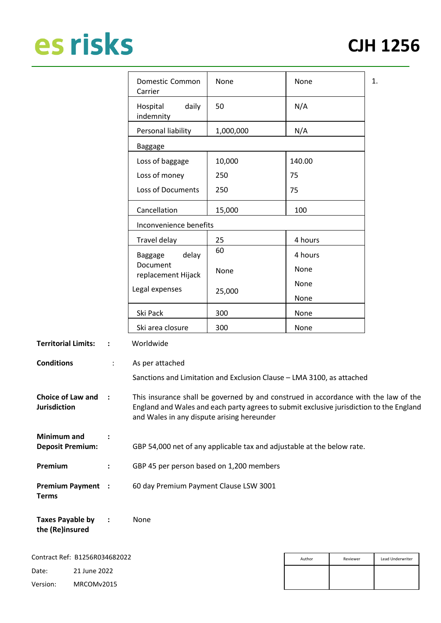|                                                 |                | Domestic Common<br>Carrier                 | None      | None                                                                                                                                                                           | 1. |
|-------------------------------------------------|----------------|--------------------------------------------|-----------|--------------------------------------------------------------------------------------------------------------------------------------------------------------------------------|----|
|                                                 |                | daily<br>Hospital<br>indemnity             | 50        | N/A                                                                                                                                                                            |    |
|                                                 |                | Personal liability                         | 1,000,000 | N/A                                                                                                                                                                            |    |
|                                                 |                | <b>Baggage</b>                             |           |                                                                                                                                                                                |    |
|                                                 |                | Loss of baggage                            | 10,000    | 140.00                                                                                                                                                                         |    |
|                                                 |                | Loss of money                              | 250       | 75                                                                                                                                                                             |    |
|                                                 |                | Loss of Documents                          | 250       | 75                                                                                                                                                                             |    |
|                                                 |                | Cancellation                               | 15,000    | 100                                                                                                                                                                            |    |
|                                                 |                | Inconvenience benefits                     |           |                                                                                                                                                                                |    |
|                                                 |                | Travel delay                               | 25        | 4 hours                                                                                                                                                                        |    |
|                                                 |                | delay<br><b>Baggage</b>                    | 60        | 4 hours                                                                                                                                                                        |    |
|                                                 |                | Document<br>replacement Hijack             | None      | None                                                                                                                                                                           |    |
|                                                 |                | Legal expenses                             | 25,000    | None                                                                                                                                                                           |    |
|                                                 |                |                                            |           | None                                                                                                                                                                           |    |
|                                                 |                | Ski Pack                                   | 300       | None                                                                                                                                                                           |    |
|                                                 |                | Ski area closure                           | 300       | None                                                                                                                                                                           |    |
| <b>Territorial Limits:</b>                      | $\ddot{\cdot}$ | Worldwide                                  |           |                                                                                                                                                                                |    |
| <b>Conditions</b>                               |                | As per attached                            |           |                                                                                                                                                                                |    |
|                                                 |                |                                            |           | Sanctions and Limitation and Exclusion Clause - LMA 3100, as attached                                                                                                          |    |
| <b>Choice of Law and</b><br><b>Jurisdiction</b> | $\ddot{\cdot}$ | and Wales in any dispute arising hereunder |           | This insurance shall be governed by and construed in accordance with the law of the<br>England and Wales and each party agrees to submit exclusive jurisdiction to the England |    |

**Minimum and Deposit Premium: :** GBP 54,000 net of any applicable tax and adjustable at the below rate.

- **Premium :** GBP 45 per person based on 1,200 members
- **Premium Payment Terms :** 60 day Premium Payment Clause LSW 3001

| <b>Taxes Payable by</b> | None |
|-------------------------|------|
| the (Re)insured         |      |

|          | Contract Ref: B1256R034682022 |
|----------|-------------------------------|
| Date:    | 21 June 2022                  |
| Version: | MRCOMv2015                    |

| Author | Reviewer | Lead Underwriter |
|--------|----------|------------------|
|        |          |                  |
|        |          |                  |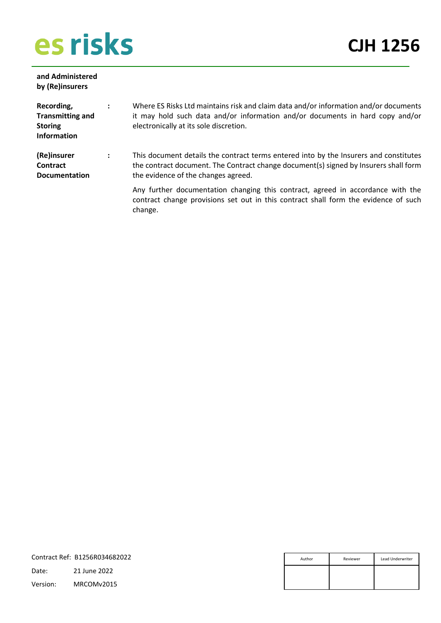**and Administered** 

**CJH 1256**

| by (Re)insurers                                                               |   |                                                                                                                                                                                                                      |
|-------------------------------------------------------------------------------|---|----------------------------------------------------------------------------------------------------------------------------------------------------------------------------------------------------------------------|
| Recording,<br><b>Transmitting and</b><br><b>Storing</b><br><b>Information</b> | ÷ | Where ES Risks Ltd maintains risk and claim data and/or information and/or documents<br>it may hold such data and/or information and/or documents in hard copy and/or<br>electronically at its sole discretion.      |
| (Re)insurer<br><b>Contract</b><br><b>Documentation</b>                        | ÷ | This document details the contract terms entered into by the Insurers and constitutes<br>the contract document. The Contract change document(s) signed by Insurers shall form<br>the evidence of the changes agreed. |
|                                                                               |   | Any further documentation changing this contract, agreed in accordance with the<br>contract change provisions set out in this contract shall form the evidence of such<br>change.                                    |

|          | Contract Ref: B1256R034682022 | Author | Reviewer | Lead Underwriter |
|----------|-------------------------------|--------|----------|------------------|
| Date:    | 21 June 2022                  |        |          |                  |
| Version: | MRCOMv2015                    |        |          |                  |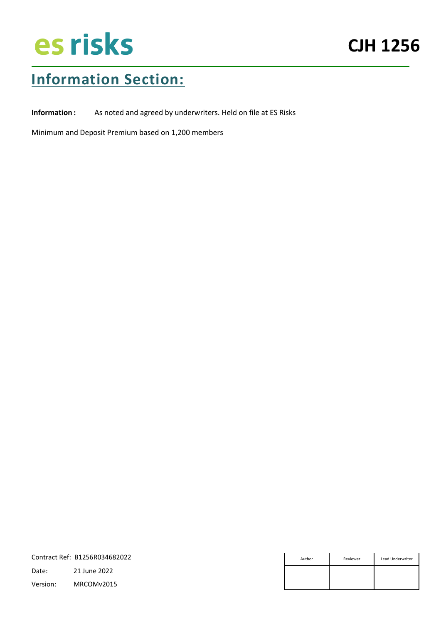### **Information Section:**

**Information :** As noted and agreed by underwriters. Held on file at ES Risks

Minimum and Deposit Premium based on 1,200 members

|          | Contract Ref: B1256R034682022 | Author | Reviewer | Lead Underwriter |
|----------|-------------------------------|--------|----------|------------------|
| Date:    | 21 June 2022                  |        |          |                  |
| Version: | MRCOMv2015                    |        |          |                  |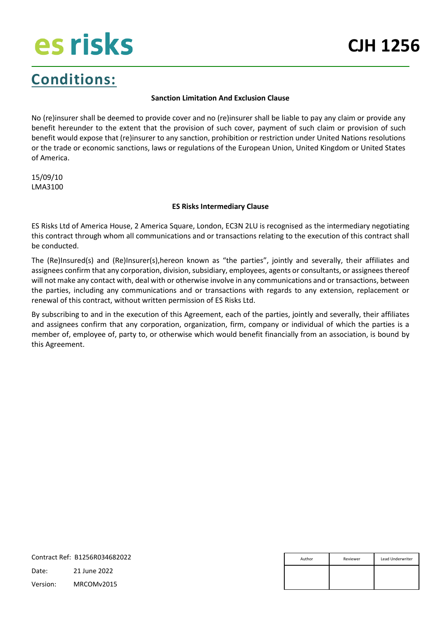### **Conditions:**

#### **Sanction Limitation And Exclusion Clause**

No (re)insurer shall be deemed to provide cover and no (re)insurer shall be liable to pay any claim or provide any benefit hereunder to the extent that the provision of such cover, payment of such claim or provision of such benefit would expose that (re)insurer to any sanction, prohibition or restriction under United Nations resolutions or the trade or economic sanctions, laws or regulations of the European Union, United Kingdom or United States of America.

15/09/10 LMA3100

#### **ES Risks Intermediary Clause**

ES Risks Ltd of America House, 2 America Square, London, EC3N 2LU is recognised as the intermediary negotiating this contract through whom all communications and or transactions relating to the execution of this contract shall be conducted.

The (Re)Insured(s) and (Re)Insurer(s),hereon known as "the parties", jointly and severally, their affiliates and assignees confirm that any corporation, division, subsidiary, employees, agents or consultants, or assignees thereof will not make any contact with, deal with or otherwise involve in any communications and or transactions, between the parties, including any communications and or transactions with regards to any extension, replacement or renewal of this contract, without written permission of ES Risks Ltd.

By subscribing to and in the execution of this Agreement, each of the parties, jointly and severally, their affiliates and assignees confirm that any corporation, organization, firm, company or individual of which the parties is a member of, employee of, party to, or otherwise which would benefit financially from an association, is bound by this Agreement.

|          | Contract Ref: B1256R034682022 | Author | Reviewer | Lead Underwriter |
|----------|-------------------------------|--------|----------|------------------|
| Date:    | 21 June 2022                  |        |          |                  |
| Version: | MRCOMv2015                    |        |          |                  |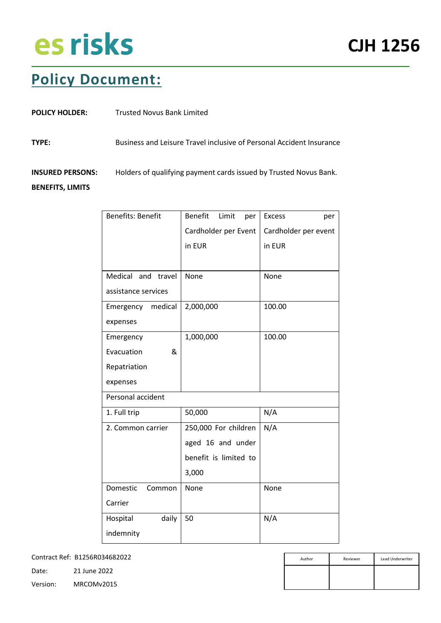### **Policy Document:**

| <b>POLICY HOLDER:</b>                              | <b>Trusted Novus Bank Limited</b>                                    |
|----------------------------------------------------|----------------------------------------------------------------------|
| TYPE:                                              | Business and Leisure Travel inclusive of Personal Accident Insurance |
| <b>INSURED PERSONS:</b><br><b>BENEFITS, LIMITS</b> | Holders of qualifying payment cards issued by Trusted Novus Bank.    |

| <b>Benefits: Benefit</b> | <b>Benefit</b><br>Limit<br>per | <b>Excess</b><br>per |
|--------------------------|--------------------------------|----------------------|
|                          | Cardholder per Event           | Cardholder per event |
|                          | in EUR                         | in EUR               |
|                          |                                |                      |
| Medical and travel       | None                           | None                 |
| assistance services      |                                |                      |
| Emergency medical        | 2,000,000                      | 100.00               |
| expenses                 |                                |                      |
| Emergency                | 1,000,000                      | 100.00               |
| Evacuation<br>&          |                                |                      |
| Repatriation             |                                |                      |
| expenses                 |                                |                      |
| Personal accident        |                                |                      |
| 1. Full trip             | 50,000                         | N/A                  |
| 2. Common carrier        | 250,000 For children           | N/A                  |
|                          | aged 16 and under              |                      |
|                          | benefit is limited to          |                      |
|                          | 3,000                          |                      |
| Domestic<br>Common       | None                           | None                 |
| Carrier                  |                                |                      |
| Hospital<br>daily        | 50                             | N/A                  |
| indemnity                |                                |                      |

Contract Ref: B1256R034682022

| Author | Reviewer | Lead Underwriter |
|--------|----------|------------------|
|        |          |                  |
|        |          |                  |

Date: 21 June 2022 Version: MRCOMv2015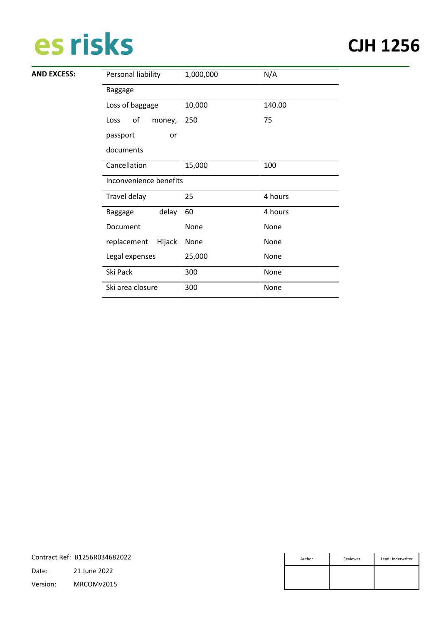**AND EXCESS:** 

### **CJH 1256**

| Personal liability      | 1,000,000 | N/A     |
|-------------------------|-----------|---------|
| <b>Baggage</b>          |           |         |
| Loss of baggage         | 10,000    | 140.00  |
| of<br>Loss<br>money,    | 250       | 75      |
| passport<br>or          |           |         |
| documents               |           |         |
| Cancellation            | 15,000    | 100     |
| Inconvenience benefits  |           |         |
| Travel delay            | 25        | 4 hours |
| delay<br><b>Baggage</b> | 60        | 4 hours |
| Document                | None      | None    |
| Hijack<br>replacement   | None      | None    |
| Legal expenses          | 25,000    | None    |
| Ski Pack                | 300       | None    |
| Ski area closure        | 300       | None    |

|          | Contract Ref: B1256R034682022 | Author | Reviewer | Lead Underwriter |
|----------|-------------------------------|--------|----------|------------------|
| Date:    | 21 June 2022                  |        |          |                  |
| Version: | MRCOMv2015                    |        |          |                  |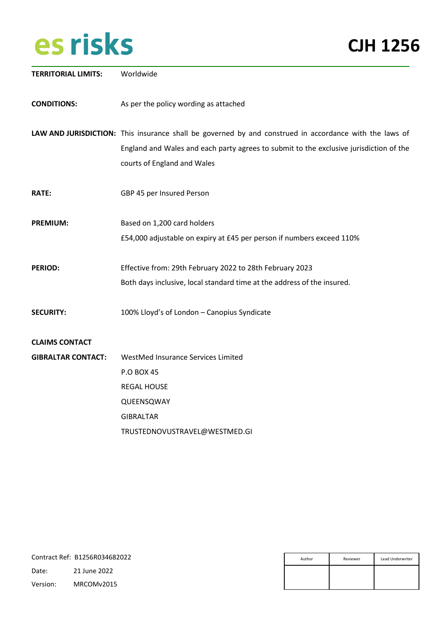| <b>TERRITORIAL LIMITS:</b>                         | Worldwide                                                                                                                                                                                                                       |
|----------------------------------------------------|---------------------------------------------------------------------------------------------------------------------------------------------------------------------------------------------------------------------------------|
| <b>CONDITIONS:</b>                                 | As per the policy wording as attached                                                                                                                                                                                           |
|                                                    | LAW AND JURISDICTION: This insurance shall be governed by and construed in accordance with the laws of<br>England and Wales and each party agrees to submit to the exclusive jurisdiction of the<br>courts of England and Wales |
| <b>RATE:</b>                                       | GBP 45 per Insured Person                                                                                                                                                                                                       |
| <b>PREMIUM:</b>                                    | Based on 1,200 card holders<br>£54,000 adjustable on expiry at £45 per person if numbers exceed 110%                                                                                                                            |
| <b>PERIOD:</b>                                     | Effective from: 29th February 2022 to 28th February 2023<br>Both days inclusive, local standard time at the address of the insured.                                                                                             |
| <b>SECURITY:</b>                                   | 100% Lloyd's of London - Canopius Syndicate                                                                                                                                                                                     |
| <b>CLAIMS CONTACT</b><br><b>GIBRALTAR CONTACT:</b> | WestMed Insurance Services Limited<br><b>P.O BOX 45</b><br><b>REGAL HOUSE</b><br>QUEENSQWAY<br><b>GIBRALTAR</b>                                                                                                                 |
|                                                    | TRUSTEDNOVUSTRAVEL@WESTMED.GI                                                                                                                                                                                                   |

| Author | Reviewer | Lead Underwriter |
|--------|----------|------------------|
|        |          |                  |
|        |          |                  |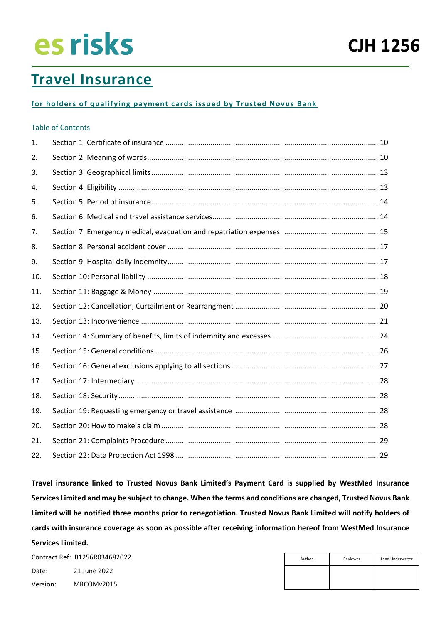### **Travel Insurance**

#### **for holders of qualifying payment cards issued by Trusted Novus Bank**

#### Table of Contents

| 1.  |  |
|-----|--|
| 2.  |  |
| 3.  |  |
| 4.  |  |
| 5.  |  |
| 6.  |  |
| 7.  |  |
| 8.  |  |
| 9.  |  |
| 10. |  |
| 11. |  |
| 12. |  |
| 13. |  |
| 14. |  |
| 15. |  |
| 16. |  |
| 17. |  |
| 18. |  |
| 19. |  |
| 20. |  |
| 21. |  |
| 22. |  |

**Travel insurance linked to Trusted Novus Bank Limited's Payment Card is supplied by WestMed Insurance Services Limited and may be subject to change. When the terms and conditions are changed, Trusted Novus Bank Limited will be notified three months prior to renegotiation. Trusted Novus Bank Limited will notify holders of cards with insurance coverage as soon as possible after receiving information hereof from WestMed Insurance Services Limited.**

| Author | Reviewer | Lead Underwriter |
|--------|----------|------------------|
|        |          |                  |
|        |          |                  |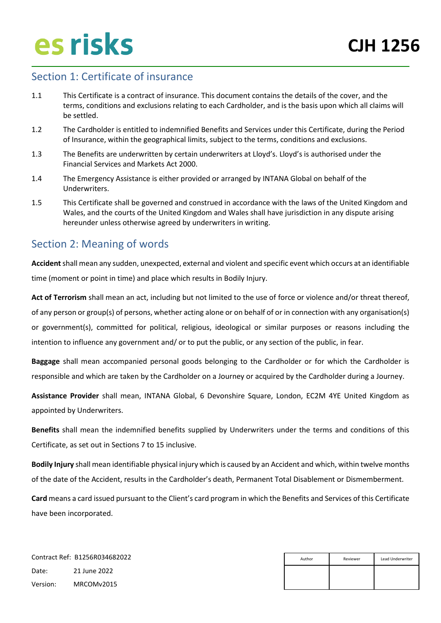### <span id="page-9-0"></span>Section 1: Certificate of insurance

- 1.1 This Certificate is a contract of insurance. This document contains the details of the cover, and the terms, conditions and exclusions relating to each Cardholder, and is the basis upon which all claims will be settled.
- 1.2 The Cardholder is entitled to indemnified Benefits and Services under this Certificate, during the Period of Insurance, within the geographical limits, subject to the terms, conditions and exclusions.
- 1.3 The Benefits are underwritten by certain underwriters at Lloyd's. Lloyd's is authorised under the Financial Services and Markets Act 2000.
- 1.4 The Emergency Assistance is either provided or arranged by INTANA Global on behalf of the Underwriters.
- 1.5 This Certificate shall be governed and construed in accordance with the laws of the United Kingdom and Wales, and the courts of the United Kingdom and Wales shall have jurisdiction in any dispute arising hereunder unless otherwise agreed by underwriters in writing.

### <span id="page-9-1"></span>Section 2: Meaning of words

**Accident**shall mean any sudden, unexpected, external and violent and specific event which occurs at an identifiable time (moment or point in time) and place which results in Bodily Injury.

**Act of Terrorism** shall mean an act, including but not limited to the use of force or violence and/or threat thereof, of any person or group(s) of persons, whether acting alone or on behalf of or in connection with any organisation(s) or government(s), committed for political, religious, ideological or similar purposes or reasons including the intention to influence any government and/ or to put the public, or any section of the public, in fear.

**Baggage** shall mean accompanied personal goods belonging to the Cardholder or for which the Cardholder is responsible and which are taken by the Cardholder on a Journey or acquired by the Cardholder during a Journey.

**Assistance Provider** shall mean, INTANA Global, 6 Devonshire Square, London, EC2M 4YE United Kingdom as appointed by Underwriters.

**Benefits** shall mean the indemnified benefits supplied by Underwriters under the terms and conditions of this Certificate, as set out in Sections 7 to 15 inclusive.

**Bodily Injury** shall mean identifiable physical injury which is caused by an Accident and which, within twelve months of the date of the Accident, results in the Cardholder's death, Permanent Total Disablement or Dismemberment.

**Card** means a card issued pursuant to the Client's card program in which the Benefits and Services of this Certificate have been incorporated.

| Author | Lead Underwriter<br>Reviewer |  |
|--------|------------------------------|--|
|        |                              |  |
|        |                              |  |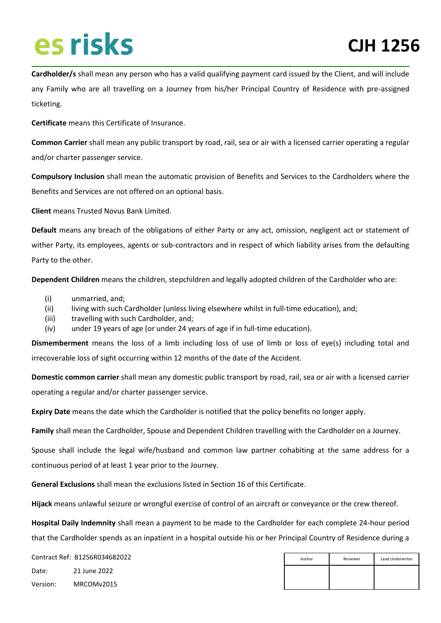**Cardholder/s** shall mean any person who has a valid qualifying payment card issued by the Client, and will include any Family who are all travelling on a Journey from his/her Principal Country of Residence with pre-assigned ticketing.

**Certificate** means this Certificate of Insurance.

**Common Carrier** shall mean any public transport by road, rail, sea or air with a licensed carrier operating a regular and/or charter passenger service.

**Compulsory Inclusion** shall mean the automatic provision of Benefits and Services to the Cardholders where the Benefits and Services are not offered on an optional basis.

**Client** means Trusted Novus Bank Limited.

**Default** means any breach of the obligations of either Party or any act, omission, negligent act or statement of wither Party, its employees, agents or sub-contractors and in respect of which liability arises from the defaulting Party to the other.

**Dependent Children** means the children, stepchildren and legally adopted children of the Cardholder who are:

- (i) unmarried, and;
- (ii) living with such Cardholder (unless living elsewhere whilst in full-time education), and;
- (iii) travelling with such Cardholder, and;
- (iv) under 19 years of age (or under 24 years of age if in full-time education).

**Dismemberment** means the loss of a limb including loss of use of limb or loss of eye(s) including total and irrecoverable loss of sight occurring within 12 months of the date of the Accident.

**Domestic common carrier** shall mean any domestic public transport by road, rail, sea or air with a licensed carrier operating a regular and/or charter passenger service.

**Expiry Date** means the date which the Cardholder is notified that the policy benefits no longer apply.

**Family** shall mean the Cardholder, Spouse and Dependent Children travelling with the Cardholder on a Journey.

Spouse shall include the legal wife/husband and common law partner cohabiting at the same address for a continuous period of at least 1 year prior to the Journey.

**General Exclusions** shall mean the exclusions listed in Section 16 of this Certificate.

**Hijack** means unlawful seizure or wrongful exercise of control of an aircraft or conveyance or the crew thereof.

**Hospital Daily Indemnity** shall mean a payment to be made to the Cardholder for each complete 24-hour period that the Cardholder spends as an inpatient in a hospital outside his or her Principal Country of Residence during a

| Author | Reviewer | Lead Underwriter |
|--------|----------|------------------|
|        |          |                  |
|        |          |                  |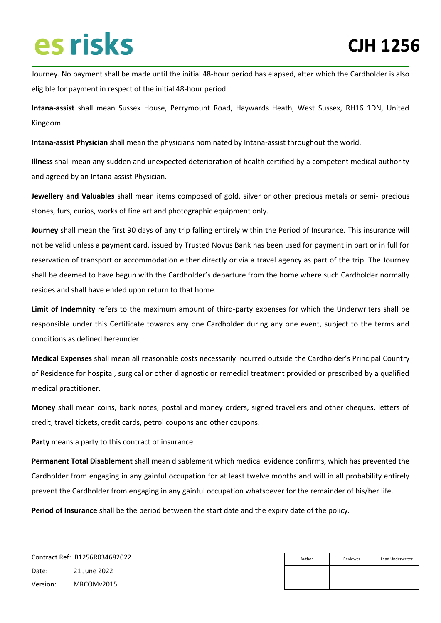Journey. No payment shall be made until the initial 48-hour period has elapsed, after which the Cardholder is also eligible for payment in respect of the initial 48-hour period.

**Intana-assist** shall mean Sussex House, Perrymount Road, Haywards Heath, West Sussex, RH16 1DN, United Kingdom.

**Intana-assist Physician** shall mean the physicians nominated by Intana-assist throughout the world.

**Illness** shall mean any sudden and unexpected deterioration of health certified by a competent medical authority and agreed by an Intana-assist Physician.

**Jewellery and Valuables** shall mean items composed of gold, silver or other precious metals or semi- precious stones, furs, curios, works of fine art and photographic equipment only.

**Journey** shall mean the first 90 days of any trip falling entirely within the Period of Insurance. This insurance will not be valid unless a payment card, issued by Trusted Novus Bank has been used for payment in part or in full for reservation of transport or accommodation either directly or via a travel agency as part of the trip. The Journey shall be deemed to have begun with the Cardholder's departure from the home where such Cardholder normally resides and shall have ended upon return to that home.

**Limit of Indemnity** refers to the maximum amount of third-party expenses for which the Underwriters shall be responsible under this Certificate towards any one Cardholder during any one event, subject to the terms and conditions as defined hereunder.

**Medical Expenses** shall mean all reasonable costs necessarily incurred outside the Cardholder's Principal Country of Residence for hospital, surgical or other diagnostic or remedial treatment provided or prescribed by a qualified medical practitioner.

**Money** shall mean coins, bank notes, postal and money orders, signed travellers and other cheques, letters of credit, travel tickets, credit cards, petrol coupons and other coupons.

**Party** means a party to this contract of insurance

**Permanent Total Disablement** shall mean disablement which medical evidence confirms, which has prevented the Cardholder from engaging in any gainful occupation for at least twelve months and will in all probability entirely prevent the Cardholder from engaging in any gainful occupation whatsoever for the remainder of his/her life.

**Period of Insurance** shall be the period between the start date and the expiry date of the policy.

| Author | Lead Underwriter<br>Reviewer |  |
|--------|------------------------------|--|
|        |                              |  |
|        |                              |  |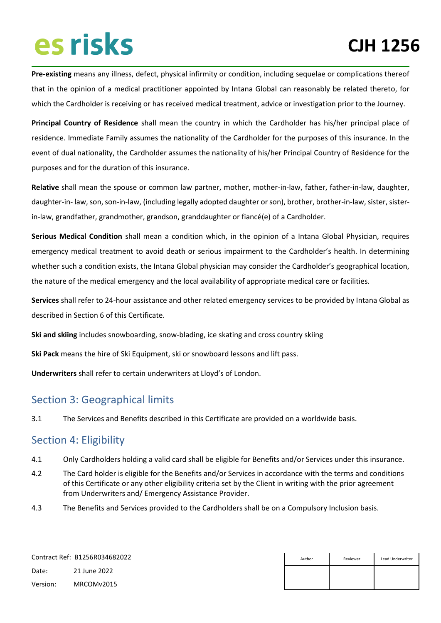**Pre-existing** means any illness, defect, physical infirmity or condition, including sequelae or complications thereof that in the opinion of a medical practitioner appointed by Intana Global can reasonably be related thereto, for which the Cardholder is receiving or has received medical treatment, advice or investigation prior to the Journey.

**Principal Country of Residence** shall mean the country in which the Cardholder has his/her principal place of residence. Immediate Family assumes the nationality of the Cardholder for the purposes of this insurance. In the event of dual nationality, the Cardholder assumes the nationality of his/her Principal Country of Residence for the purposes and for the duration of this insurance.

**Relative** shall mean the spouse or common law partner, mother, mother-in-law, father, father-in-law, daughter, daughter-in- law, son, son-in-law, (including legally adopted daughter or son), brother, brother-in-law, sister, sisterin-law, grandfather, grandmother, grandson, granddaughter or fiancé(e) of a Cardholder.

**Serious Medical Condition** shall mean a condition which, in the opinion of a Intana Global Physician, requires emergency medical treatment to avoid death or serious impairment to the Cardholder's health. In determining whether such a condition exists, the Intana Global physician may consider the Cardholder's geographical location, the nature of the medical emergency and the local availability of appropriate medical care or facilities.

**Services** shall refer to 24-hour assistance and other related emergency services to be provided by Intana Global as described in Section 6 of this Certificate.

**Ski and skiing** includes snowboarding, snow-blading, ice skating and cross country skiing

**Ski Pack** means the hire of Ski Equipment, ski or snowboard lessons and lift pass.

**Underwriters** shall refer to certain underwriters at Lloyd's of London.

### <span id="page-12-0"></span>Section 3: Geographical limits

3.1 The Services and Benefits described in this Certificate are provided on a worldwide basis.

### <span id="page-12-1"></span>Section 4: Eligibility

- 4.1 Only Cardholders holding a valid card shall be eligible for Benefits and/or Services under this insurance.
- 4.2 The Card holder is eligible for the Benefits and/or Services in accordance with the terms and conditions of this Certificate or any other eligibility criteria set by the Client in writing with the prior agreement from Underwriters and/ Emergency Assistance Provider.
- 4.3 The Benefits and Services provided to the Cardholders shall be on a Compulsory Inclusion basis.

|          | Contract Ref: B1256R034682022 | Author | Reviewer | Lead Underwriter |
|----------|-------------------------------|--------|----------|------------------|
| Date:    | 21 June 2022                  |        |          |                  |
| Version: | MRCOMv2015                    |        |          |                  |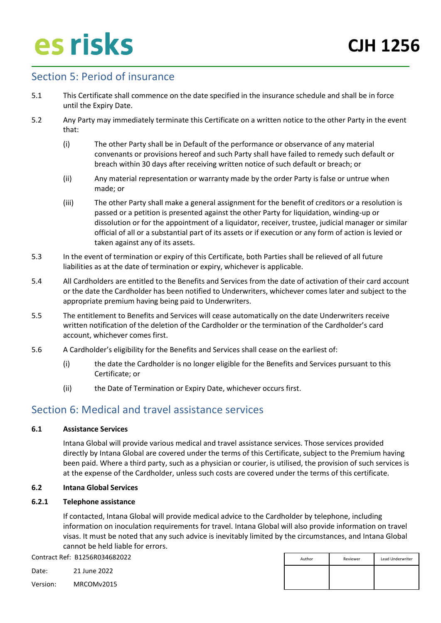### <span id="page-13-0"></span>Section 5: Period of insurance

- 5.1 This Certificate shall commence on the date specified in the insurance schedule and shall be in force until the Expiry Date.
- 5.2 Any Party may immediately terminate this Certificate on a written notice to the other Party in the event that:
	- (i) The other Party shall be in Default of the performance or observance of any material convenants or provisions hereof and such Party shall have failed to remedy such default or breach within 30 days after receiving written notice of such default or breach; or
	- (ii) Any material representation or warranty made by the order Party is false or untrue when made; or
	- (iii) The other Party shall make a general assignment for the benefit of creditors or a resolution is passed or a petition is presented against the other Party for liquidation, winding-up or dissolution or for the appointment of a liquidator, receiver, trustee, judicial manager or similar official of all or a substantial part of its assets or if execution or any form of action is levied or taken against any of its assets.
- 5.3 In the event of termination or expiry of this Certificate, both Parties shall be relieved of all future liabilities as at the date of termination or expiry, whichever is applicable.
- 5.4 All Cardholders are entitled to the Benefits and Services from the date of activation of their card account or the date the Cardholder has been notified to Underwriters, whichever comes later and subject to the appropriate premium having being paid to Underwriters.
- 5.5 The entitlement to Benefits and Services will cease automatically on the date Underwriters receive written notification of the deletion of the Cardholder or the termination of the Cardholder's card account, whichever comes first.
- 5.6 A Cardholder's eligibility for the Benefits and Services shall cease on the earliest of:
	- (i) the date the Cardholder is no longer eligible for the Benefits and Services pursuant to this Certificate; or
	- (ii) the Date of Termination or Expiry Date, whichever occurs first.

### <span id="page-13-1"></span>Section 6: Medical and travel assistance services

#### **6.1 Assistance Services**

Intana Global will provide various medical and travel assistance services. Those services provided directly by Intana Global are covered under the terms of this Certificate, subject to the Premium having been paid. Where a third party, such as a physician or courier, is utilised, the provision of such services is at the expense of the Cardholder, unless such costs are covered under the terms of this certificate.

#### **6.2 Intana Global Services**

#### **6.2.1 Telephone assistance**

If contacted, Intana Global will provide medical advice to the Cardholder by telephone, including information on inoculation requirements for travel. Intana Global will also provide information on travel visas. It must be noted that any such advice is inevitably limited by the circumstances, and Intana Global cannot be held liable for errors.

Contract Ref: B1256R034682022

Date: 21 June 2022

| Author | Reviewer | Lead Underwriter |
|--------|----------|------------------|
|        |          |                  |
|        |          |                  |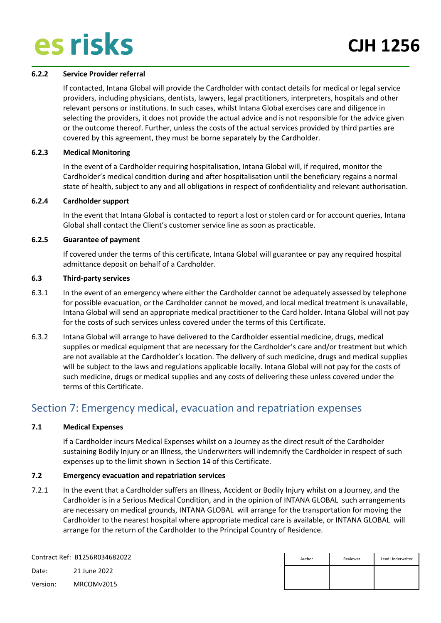#### **6.2.2 Service Provider referral**

If contacted, Intana Global will provide the Cardholder with contact details for medical or legal service providers, including physicians, dentists, lawyers, legal practitioners, interpreters, hospitals and other relevant persons or institutions. In such cases, whilst Intana Global exercises care and diligence in selecting the providers, it does not provide the actual advice and is not responsible for the advice given or the outcome thereof. Further, unless the costs of the actual services provided by third parties are covered by this agreement, they must be borne separately by the Cardholder.

#### **6.2.3 Medical Monitoring**

In the event of a Cardholder requiring hospitalisation, Intana Global will, if required, monitor the Cardholder's medical condition during and after hospitalisation until the beneficiary regains a normal state of health, subject to any and all obligations in respect of confidentiality and relevant authorisation.

#### **6.2.4 Cardholder support**

In the event that Intana Global is contacted to report a lost or stolen card or for account queries, Intana Global shall contact the Client's customer service line as soon as practicable.

#### **6.2.5 Guarantee of payment**

If covered under the terms of this certificate, Intana Global will guarantee or pay any required hospital admittance deposit on behalf of a Cardholder.

#### **6.3 Third-party services**

- 6.3.1 In the event of an emergency where either the Cardholder cannot be adequately assessed by telephone for possible evacuation, or the Cardholder cannot be moved, and local medical treatment is unavailable, Intana Global will send an appropriate medical practitioner to the Card holder. Intana Global will not pay for the costs of such services unless covered under the terms of this Certificate.
- 6.3.2 Intana Global will arrange to have delivered to the Cardholder essential medicine, drugs, medical supplies or medical equipment that are necessary for the Cardholder's care and/or treatment but which are not available at the Cardholder's location. The delivery of such medicine, drugs and medical supplies will be subject to the laws and regulations applicable locally. Intana Global will not pay for the costs of such medicine, drugs or medical supplies and any costs of delivering these unless covered under the terms of this Certificate.

### <span id="page-14-0"></span>Section 7: Emergency medical, evacuation and repatriation expenses

#### **7.1 Medical Expenses**

If a Cardholder incurs Medical Expenses whilst on a Journey as the direct result of the Cardholder sustaining Bodily Injury or an Illness, the Underwriters will indemnify the Cardholder in respect of such expenses up to the limit shown in Section 14 of this Certificate.

#### **7.2 Emergency evacuation and repatriation services**

7.2.1 In the event that a Cardholder suffers an Illness, Accident or Bodily Injury whilst on a Journey, and the Cardholder is in a Serious Medical Condition, and in the opinion of INTANA GLOBAL such arrangements are necessary on medical grounds, INTANA GLOBAL will arrange for the transportation for moving the Cardholder to the nearest hospital where appropriate medical care is available, or INTANA GLOBAL will arrange for the return of the Cardholder to the Principal Country of Residence.

| Author | Reviewer | Lead Underwriter |
|--------|----------|------------------|
|        |          |                  |
|        |          |                  |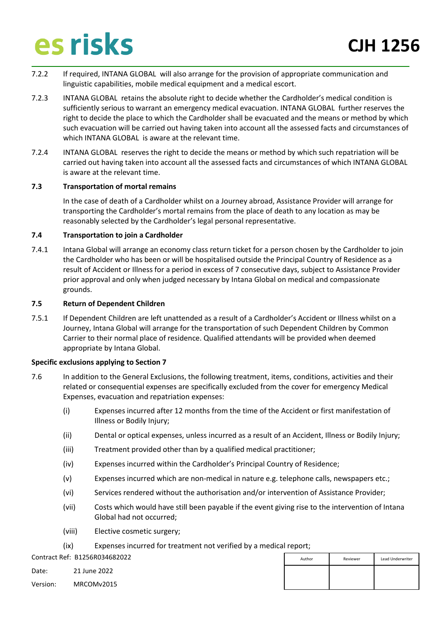- 7.2.2 If required, INTANA GLOBAL will also arrange for the provision of appropriate communication and linguistic capabilities, mobile medical equipment and a medical escort.
- 7.2.3 INTANA GLOBAL retains the absolute right to decide whether the Cardholder's medical condition is sufficiently serious to warrant an emergency medical evacuation. INTANA GLOBAL further reserves the right to decide the place to which the Cardholder shall be evacuated and the means or method by which such evacuation will be carried out having taken into account all the assessed facts and circumstances of which INTANA GLOBAL is aware at the relevant time.
- 7.2.4 INTANA GLOBAL reserves the right to decide the means or method by which such repatriation will be carried out having taken into account all the assessed facts and circumstances of which INTANA GLOBAL is aware at the relevant time.

#### **7.3 Transportation of mortal remains**

In the case of death of a Cardholder whilst on a Journey abroad, Assistance Provider will arrange for transporting the Cardholder's mortal remains from the place of death to any location as may be reasonably selected by the Cardholder's legal personal representative.

#### **7.4 Transportation to join a Cardholder**

7.4.1 Intana Global will arrange an economy class return ticket for a person chosen by the Cardholder to join the Cardholder who has been or will be hospitalised outside the Principal Country of Residence as a result of Accident or Illness for a period in excess of 7 consecutive days, subject to Assistance Provider prior approval and only when judged necessary by Intana Global on medical and compassionate grounds.

#### **7.5 Return of Dependent Children**

7.5.1 If Dependent Children are left unattended as a result of a Cardholder's Accident or Illness whilst on a Journey, Intana Global will arrange for the transportation of such Dependent Children by Common Carrier to their normal place of residence. Qualified attendants will be provided when deemed appropriate by Intana Global.

#### **Specific exclusions applying to Section 7**

- 7.6 In addition to the General Exclusions, the following treatment, items, conditions, activities and their related or consequential expenses are specifically excluded from the cover for emergency Medical Expenses, evacuation and repatriation expenses:
	- (i) Expenses incurred after 12 months from the time of the Accident or first manifestation of Illness or Bodily Injury;
	- (ii) Dental or optical expenses, unless incurred as a result of an Accident, Illness or Bodily Injury;
	- (iii) Treatment provided other than by a qualified medical practitioner;
	- (iv) Expenses incurred within the Cardholder's Principal Country of Residence;
	- (v) Expenses incurred which are non-medical in nature e.g. telephone calls, newspapers etc.;
	- (vi) Services rendered without the authorisation and/or intervention of Assistance Provider;
	- (vii) Costs which would have still been payable if the event giving rise to the intervention of Intana Global had not occurred;
	- (viii) Elective cosmetic surgery;
	- (ix) Expenses incurred for treatment not verified by a medical report;

Contract Ref: B1256R034682022

Date: 21 June 2022

| Author | Reviewer | Lead Underwriter |
|--------|----------|------------------|
|        |          |                  |
|        |          |                  |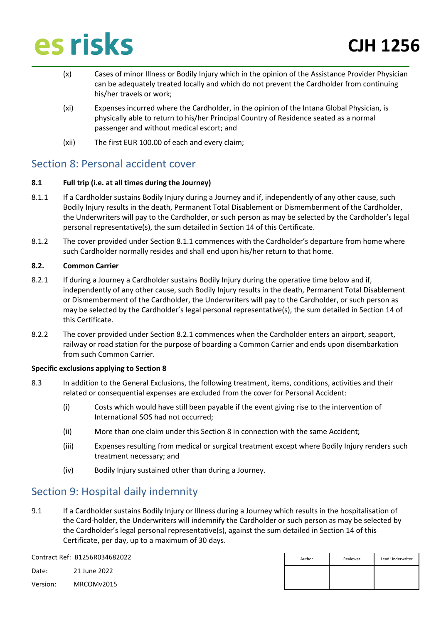- (x) Cases of minor Illness or Bodily Injury which in the opinion of the Assistance Provider Physician can be adequately treated locally and which do not prevent the Cardholder from continuing his/her travels or work;
- (xi) Expenses incurred where the Cardholder, in the opinion of the Intana Global Physician, is physically able to return to his/her Principal Country of Residence seated as a normal passenger and without medical escort; and
- (xii) The first EUR 100.00 of each and every claim;

### <span id="page-16-0"></span>Section 8: Personal accident cover

#### **8.1 Full trip (i.e. at all times during the Journey)**

- 8.1.1 If a Cardholder sustains Bodily Injury during a Journey and if, independently of any other cause, such Bodily Injury results in the death, Permanent Total Disablement or Dismemberment of the Cardholder, the Underwriters will pay to the Cardholder, or such person as may be selected by the Cardholder's legal personal representative(s), the sum detailed in Section 14 of this Certificate.
- 8.1.2 The cover provided under Section 8.1.1 commences with the Cardholder's departure from home where such Cardholder normally resides and shall end upon his/her return to that home.

#### **8.2. Common Carrier**

- 8.2.1 If during a Journey a Cardholder sustains Bodily Injury during the operative time below and if, independently of any other cause, such Bodily Injury results in the death, Permanent Total Disablement or Dismemberment of the Cardholder, the Underwriters will pay to the Cardholder, or such person as may be selected by the Cardholder's legal personal representative(s), the sum detailed in Section 14 of this Certificate.
- 8.2.2 The cover provided under Section 8.2.1 commences when the Cardholder enters an airport, seaport, railway or road station for the purpose of boarding a Common Carrier and ends upon disembarkation from such Common Carrier.

#### **Specific exclusions applying to Section 8**

- 8.3 In addition to the General Exclusions, the following treatment, items, conditions, activities and their related or consequential expenses are excluded from the cover for Personal Accident:
	- (i) Costs which would have still been payable if the event giving rise to the intervention of International SOS had not occurred;
	- (ii) More than one claim under this Section 8 in connection with the same Accident;
	- (iii) Expenses resulting from medical or surgical treatment except where Bodily Injury renders such treatment necessary; and
	- (iv) Bodily Injury sustained other than during a Journey.

### <span id="page-16-1"></span>Section 9: Hospital daily indemnity

9.1 If a Cardholder sustains Bodily Injury or Illness during a Journey which results in the hospitalisation of the Card-holder, the Underwriters will indemnify the Cardholder or such person as may be selected by the Cardholder's legal personal representative(s), against the sum detailed in Section 14 of this Certificate, per day, up to a maximum of 30 days.

Contract Ref: B1256R034682022

Date: 21 June 2022

| Author | Reviewer | Lead Underwriter |
|--------|----------|------------------|
|        |          |                  |
|        |          |                  |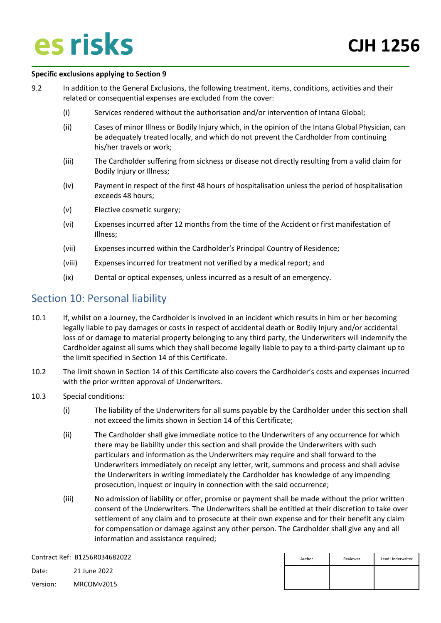#### **Specific exclusions applying to Section 9**

- 9.2 In addition to the General Exclusions, the following treatment, items, conditions, activities and their related or consequential expenses are excluded from the cover:
	- (i) Services rendered without the authorisation and/or intervention of Intana Global;
	- (ii) Cases of minor Illness or Bodily Injury which, in the opinion of the Intana Global Physician, can be adequately treated locally, and which do not prevent the Cardholder from continuing his/her travels or work;
	- (iii) The Cardholder suffering from sickness or disease not directly resulting from a valid claim for Bodily Injury or Illness;
	- (iv) Payment in respect of the first 48 hours of hospitalisation unless the period of hospitalisation exceeds 48 hours;
	- (v) Elective cosmetic surgery;
	- (vi) Expenses incurred after 12 months from the time of the Accident or first manifestation of Illness;
	- (vii) Expenses incurred within the Cardholder's Principal Country of Residence;
	- (viii) Expenses incurred for treatment not verified by a medical report; and
	- (ix) Dental or optical expenses, unless incurred as a result of an emergency.

### <span id="page-17-0"></span>Section 10: Personal liability

- 10.1 If, whilst on a Journey, the Cardholder is involved in an incident which results in him or her becoming legally liable to pay damages or costs in respect of accidental death or Bodily Injury and/or accidental loss of or damage to material property belonging to any third party, the Underwriters will indemnify the Cardholder against all sums which they shall become legally liable to pay to a third-party claimant up to the limit specified in Section 14 of this Certificate.
- 10.2 The limit shown in Section 14 of this Certificate also covers the Cardholder's costs and expenses incurred with the prior written approval of Underwriters.
- 10.3 Special conditions:
	- (i) The liability of the Underwriters for all sums payable by the Cardholder under this section shall not exceed the limits shown in Section 14 of this Certificate;
	- (ii) The Cardholder shall give immediate notice to the Underwriters of any occurrence for which there may be liability under this section and shall provide the Underwriters with such particulars and information as the Underwriters may require and shall forward to the Underwriters immediately on receipt any letter, writ, summons and process and shall advise the Underwriters in writing immediately the Cardholder has knowledge of any impending prosecution, inquest or inquiry in connection with the said occurrence;
	- (iii) No admission of liability or offer, promise or payment shall be made without the prior written consent of the Underwriters. The Underwriters shall be entitled at their discretion to take over settlement of any claim and to prosecute at their own expense and for their benefit any claim for compensation or damage against any other person. The Cardholder shall give any and all information and assistance required;

|          | Contract Ref: B1256R034682022 | Author | Reviewer | Lead Underwriter |
|----------|-------------------------------|--------|----------|------------------|
| Date:    | 21 June 2022                  |        |          |                  |
| Version: | MRCOMv2015                    |        |          |                  |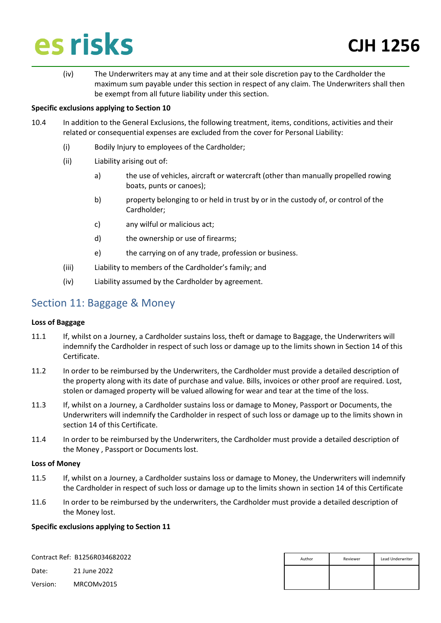(iv) The Underwriters may at any time and at their sole discretion pay to the Cardholder the maximum sum payable under this section in respect of any claim. The Underwriters shall then be exempt from all future liability under this section.

#### **Specific exclusions applying to Section 10**

- 10.4 In addition to the General Exclusions, the following treatment, items, conditions, activities and their related or consequential expenses are excluded from the cover for Personal Liability:
	- (i) Bodily Injury to employees of the Cardholder;
	- (ii) Liability arising out of:
		- a) the use of vehicles, aircraft or watercraft (other than manually propelled rowing boats, punts or canoes);
		- b) property belonging to or held in trust by or in the custody of, or control of the Cardholder;
		- c) any wilful or malicious act;
		- d) the ownership or use of firearms;
		- e) the carrying on of any trade, profession or business.
	- (iii) Liability to members of the Cardholder's family; and
	- (iv) Liability assumed by the Cardholder by agreement.

### <span id="page-18-0"></span>Section 11: Baggage & Money

#### **Loss of Baggage**

- 11.1 If, whilst on a Journey, a Cardholder sustains loss, theft or damage to Baggage, the Underwriters will indemnify the Cardholder in respect of such loss or damage up to the limits shown in Section 14 of this Certificate.
- 11.2 In order to be reimbursed by the Underwriters, the Cardholder must provide a detailed description of the property along with its date of purchase and value. Bills, invoices or other proof are required. Lost, stolen or damaged property will be valued allowing for wear and tear at the time of the loss.
- 11.3 If, whilst on a Journey, a Cardholder sustains loss or damage to Money, Passport or Documents, the Underwriters will indemnify the Cardholder in respect of such loss or damage up to the limits shown in section 14 of this Certificate.
- 11.4 In order to be reimbursed by the Underwriters, the Cardholder must provide a detailed description of the Money , Passport or Documents lost.

#### **Loss of Money**

- 11.5 If, whilst on a Journey, a Cardholder sustains loss or damage to Money, the Underwriters will indemnify the Cardholder in respect of such loss or damage up to the limits shown in section 14 of this Certificate
- 11.6 In order to be reimbursed by the underwriters, the Cardholder must provide a detailed description of the Money lost.

#### **Specific exclusions applying to Section 11**

Contract Ref: B1256R034682022

Date: 21 June 2022

| Author | Reviewer | Lead Underwriter |
|--------|----------|------------------|
|        |          |                  |
|        |          |                  |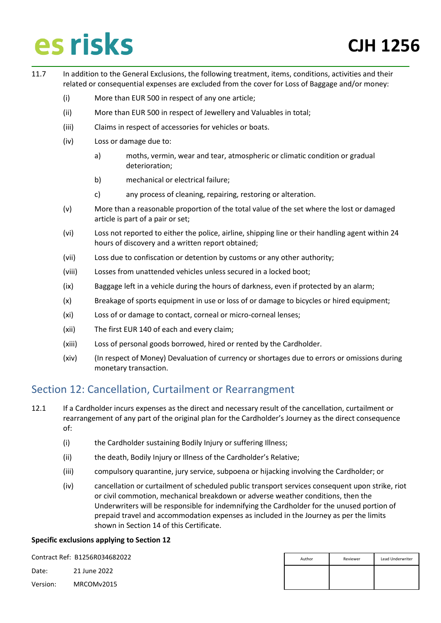- 11.7 In addition to the General Exclusions, the following treatment, items, conditions, activities and their related or consequential expenses are excluded from the cover for Loss of Baggage and/or money:
	- (i) More than EUR 500 in respect of any one article;
	- (ii) More than EUR 500 in respect of Jewellery and Valuables in total;
	- (iii) Claims in respect of accessories for vehicles or boats.
	- (iv) Loss or damage due to:
		- a) moths, vermin, wear and tear, atmospheric or climatic condition or gradual deterioration;
		- b) mechanical or electrical failure;
		- c) any process of cleaning, repairing, restoring or alteration.
	- (v) More than a reasonable proportion of the total value of the set where the lost or damaged article is part of a pair or set;
	- (vi) Loss not reported to either the police, airline, shipping line or their handling agent within 24 hours of discovery and a written report obtained;
	- (vii) Loss due to confiscation or detention by customs or any other authority;
	- (viii) Losses from unattended vehicles unless secured in a locked boot;
	- (ix) Baggage left in a vehicle during the hours of darkness, even if protected by an alarm;
	- (x) Breakage of sports equipment in use or loss of or damage to bicycles or hired equipment;
	- (xi) Loss of or damage to contact, corneal or micro-corneal lenses;
	- (xii) The first EUR 140 of each and every claim;
	- (xiii) Loss of personal goods borrowed, hired or rented by the Cardholder.
	- (xiv) (In respect of Money) Devaluation of currency or shortages due to errors or omissions during monetary transaction.

### <span id="page-19-0"></span>Section 12: Cancellation, Curtailment or Rearrangment

- 12.1 If a Cardholder incurs expenses as the direct and necessary result of the cancellation, curtailment or rearrangement of any part of the original plan for the Cardholder's Journey as the direct consequence of:
	- (i) the Cardholder sustaining Bodily Injury or suffering Illness;
	- (ii) the death, Bodily Injury or Illness of the Cardholder's Relative;
	- (iii) compulsory quarantine, jury service, subpoena or hijacking involving the Cardholder; or
	- (iv) cancellation or curtailment of scheduled public transport services consequent upon strike, riot or civil commotion, mechanical breakdown or adverse weather conditions, then the Underwriters will be responsible for indemnifying the Cardholder for the unused portion of prepaid travel and accommodation expenses as included in the Journey as per the limits shown in Section 14 of this Certificate.

#### **Specific exclusions applying to Section 12**

Contract Ref: B1256R034682022

Date: 21 June 2022

| Author | Reviewer | Lead Underwriter |
|--------|----------|------------------|
|        |          |                  |
|        |          |                  |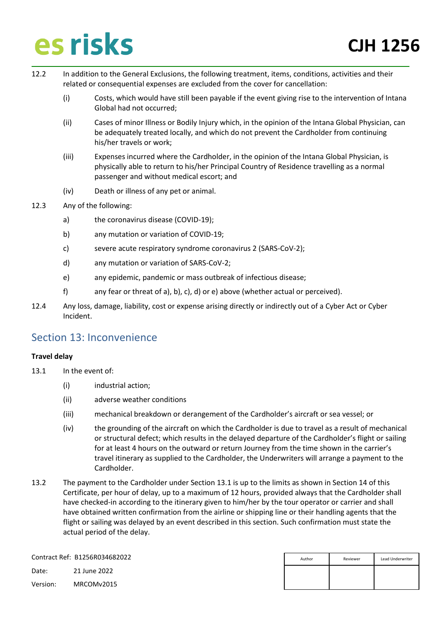- 12.2 In addition to the General Exclusions, the following treatment, items, conditions, activities and their related or consequential expenses are excluded from the cover for cancellation:
	- (i) Costs, which would have still been payable if the event giving rise to the intervention of Intana Global had not occurred;
	- (ii) Cases of minor Illness or Bodily Injury which, in the opinion of the Intana Global Physician, can be adequately treated locally, and which do not prevent the Cardholder from continuing his/her travels or work;
	- (iii) Expenses incurred where the Cardholder, in the opinion of the Intana Global Physician, is physically able to return to his/her Principal Country of Residence travelling as a normal passenger and without medical escort; and
	- (iv) Death or illness of any pet or animal.
- 12.3 Any of the following:
	- a) the coronavirus disease (COVID-19);
	- b) any mutation or variation of COVID-19;
	- c) severe acute respiratory syndrome coronavirus 2 (SARS-CoV-2);
	- d) any mutation or variation of SARS-CoV-2;
	- e) any epidemic, pandemic or mass outbreak of infectious disease;
	- f) any fear or threat of a), b), c), d) or e) above (whether actual or perceived).
- 12.4 Any loss, damage, liability, cost or expense arising directly or indirectly out of a Cyber Act or Cyber Incident.

### <span id="page-20-0"></span>Section 13: Inconvenience

#### **Travel delay**

- 13.1 In the event of:
	- (i) industrial action;
	- (ii) adverse weather conditions
	- (iii) mechanical breakdown or derangement of the Cardholder's aircraft or sea vessel; or
	- (iv) the grounding of the aircraft on which the Cardholder is due to travel as a result of mechanical or structural defect; which results in the delayed departure of the Cardholder's flight or sailing for at least 4 hours on the outward or return Journey from the time shown in the carrier's travel itinerary as supplied to the Cardholder, the Underwriters will arrange a payment to the Cardholder.
- 13.2 The payment to the Cardholder under Section 13.1 is up to the limits as shown in Section 14 of this Certificate, per hour of delay, up to a maximum of 12 hours, provided always that the Cardholder shall have checked-in according to the itinerary given to him/her by the tour operator or carrier and shall have obtained written confirmation from the airline or shipping line or their handling agents that the flight or sailing was delayed by an event described in this section. Such confirmation must state the actual period of the delay.

Contract Ref: B1256R034682022

Date: 21 June 2022

| Author | Reviewer | Lead Underwriter |
|--------|----------|------------------|
|        |          |                  |
|        |          |                  |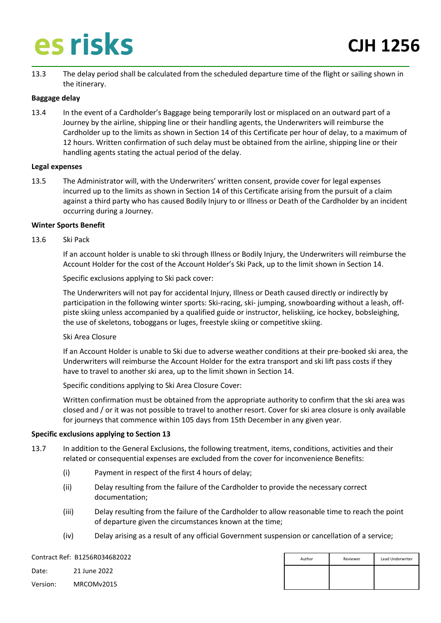13.3 The delay period shall be calculated from the scheduled departure time of the flight or sailing shown in the itinerary.

#### **Baggage delay**

13.4 In the event of a Cardholder's Baggage being temporarily lost or misplaced on an outward part of a Journey by the airline, shipping line or their handling agents, the Underwriters will reimburse the Cardholder up to the limits as shown in Section 14 of this Certificate per hour of delay, to a maximum of 12 hours. Written confirmation of such delay must be obtained from the airline, shipping line or their handling agents stating the actual period of the delay.

#### **Legal expenses**

13.5 The Administrator will, with the Underwriters' written consent, provide cover for legal expenses incurred up to the limits as shown in Section 14 of this Certificate arising from the pursuit of a claim against a third party who has caused Bodily Injury to or Illness or Death of the Cardholder by an incident occurring during a Journey.

#### **Winter Sports Benefit**

#### 13.6 Ski Pack

If an account holder is unable to ski through Illness or Bodily Injury, the Underwriters will reimburse the Account Holder for the cost of the Account Holder's Ski Pack, up to the limit shown in Section 14.

Specific exclusions applying to Ski pack cover:

The Underwriters will not pay for accidental Injury, Illness or Death caused directly or indirectly by participation in the following winter sports: Ski-racing, ski- jumping, snowboarding without a leash, offpiste skiing unless accompanied by a qualified guide or instructor, heliskiing, ice hockey, bobsleighing, the use of skeletons, toboggans or luges, freestyle skiing or competitive skiing.

#### Ski Area Closure

If an Account Holder is unable to Ski due to adverse weather conditions at their pre-booked ski area, the Underwriters will reimburse the Account Holder for the extra transport and ski lift pass costs if they have to travel to another ski area, up to the limit shown in Section 14.

Specific conditions applying to Ski Area Closure Cover:

Written confirmation must be obtained from the appropriate authority to confirm that the ski area was closed and / or it was not possible to travel to another resort. Cover for ski area closure is only available for journeys that commence within 105 days from 15th December in any given year.

#### **Specific exclusions applying to Section 13**

- 13.7 In addition to the General Exclusions, the following treatment, items, conditions, activities and their related or consequential expenses are excluded from the cover for inconvenience Benefits:
	- (i) Payment in respect of the first 4 hours of delay;
	- (ii) Delay resulting from the failure of the Cardholder to provide the necessary correct documentation;
	- (iii) Delay resulting from the failure of the Cardholder to allow reasonable time to reach the point of departure given the circumstances known at the time;
	- (iv) Delay arising as a result of any official Government suspension or cancellation of a service;

Contract Ref: B1256R034682022 Date: 21 June 2022 Version: MRCOMv2015 Author **Reviewer** Lead Underwriter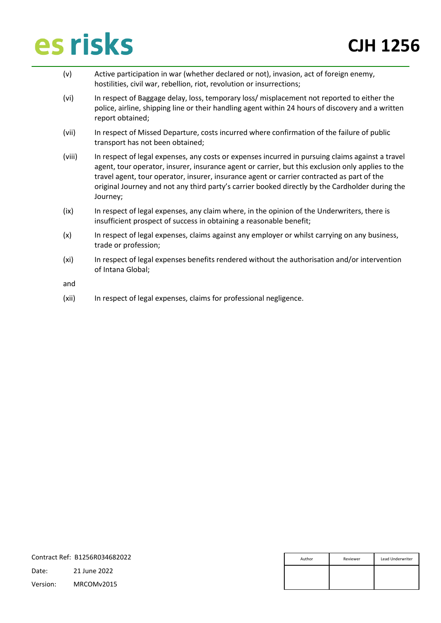- (v) Active participation in war (whether declared or not), invasion, act of foreign enemy, hostilities, civil war, rebellion, riot, revolution or insurrections;
- (vi) In respect of Baggage delay, loss, temporary loss/ misplacement not reported to either the police, airline, shipping line or their handling agent within 24 hours of discovery and a written report obtained;
- (vii) In respect of Missed Departure, costs incurred where confirmation of the failure of public transport has not been obtained;
- (viii) In respect of legal expenses, any costs or expenses incurred in pursuing claims against a travel agent, tour operator, insurer, insurance agent or carrier, but this exclusion only applies to the travel agent, tour operator, insurer, insurance agent or carrier contracted as part of the original Journey and not any third party's carrier booked directly by the Cardholder during the Journey;
- (ix) In respect of legal expenses, any claim where, in the opinion of the Underwriters, there is insufficient prospect of success in obtaining a reasonable benefit;
- (x) In respect of legal expenses, claims against any employer or whilst carrying on any business, trade or profession;
- (xi) In respect of legal expenses benefits rendered without the authorisation and/or intervention of Intana Global;

and

(xii) In respect of legal expenses, claims for professional negligence.

|          | Contract Ref: B1256R034682022 | Author | Reviewer | Lead Underwriter |
|----------|-------------------------------|--------|----------|------------------|
| Date:    | 21 June 2022                  |        |          |                  |
| Version: | MRCOMv2015                    |        |          |                  |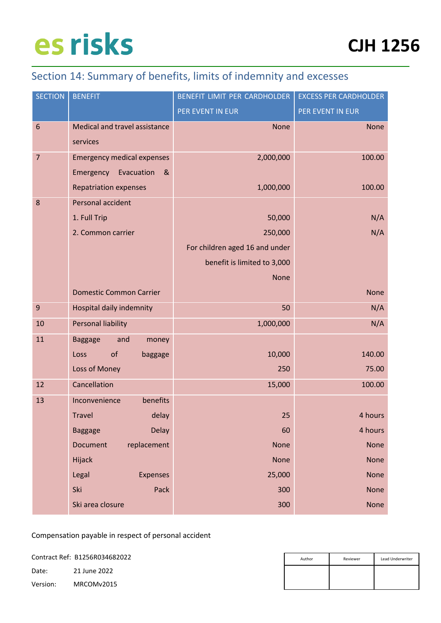### <span id="page-23-0"></span>Section 14: Summary of benefits, limits of indemnity and excesses

| <b>SECTION</b>  | <b>BENEFIT</b>                    | BENEFIT LIMIT PER CARDHOLDER   | <b>EXCESS PER CARDHOLDER</b> |
|-----------------|-----------------------------------|--------------------------------|------------------------------|
|                 |                                   | PER EVENT IN EUR               | PER EVENT IN EUR             |
| $6\phantom{1}6$ | Medical and travel assistance     | <b>None</b>                    | <b>None</b>                  |
|                 | services                          |                                |                              |
| $\overline{7}$  | <b>Emergency medical expenses</b> | 2,000,000                      | 100.00                       |
|                 | Evacuation<br>Emergency<br>&      |                                |                              |
|                 | <b>Repatriation expenses</b>      | 1,000,000                      | 100.00                       |
| 8               | Personal accident                 |                                |                              |
|                 | 1. Full Trip                      | 50,000                         | N/A                          |
|                 | 2. Common carrier                 | 250,000                        | N/A                          |
|                 |                                   | For children aged 16 and under |                              |
|                 |                                   | benefit is limited to 3,000    |                              |
|                 |                                   | <b>None</b>                    |                              |
|                 | <b>Domestic Common Carrier</b>    |                                | <b>None</b>                  |
| $9$             | Hospital daily indemnity          | 50                             | N/A                          |
| 10              | <b>Personal liability</b>         | 1,000,000                      | N/A                          |
| 11              | <b>Baggage</b><br>and<br>money    |                                |                              |
|                 | of<br>Loss<br>baggage             | 10,000                         | 140.00                       |
|                 | Loss of Money                     | 250                            | 75.00                        |
| 12              | Cancellation                      | 15,000                         | 100.00                       |
| 13              | Inconvenience<br>benefits         |                                |                              |
|                 | <b>Travel</b><br>delay            | 25                             | 4 hours                      |
|                 | <b>Delay</b><br><b>Baggage</b>    | 60                             | 4 hours                      |
|                 | <b>Document</b><br>replacement    | None                           | <b>None</b>                  |
|                 | Hijack                            | None                           | <b>None</b>                  |
|                 | Legal<br><b>Expenses</b>          | 25,000                         | None                         |
|                 | Ski<br>Pack                       | 300                            | None                         |
|                 | Ski area closure                  | 300                            | None                         |

Compensation payable in respect of personal accident

Contract Ref: B1256R034682022

Date: 21 June 2022

| Author | Reviewer | Lead Underwriter |
|--------|----------|------------------|
|        |          |                  |
|        |          |                  |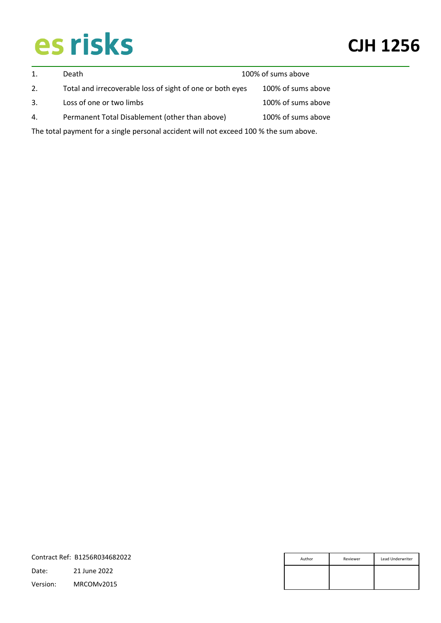|    | Death                                                                                 | 100% of sums above |                    |  |
|----|---------------------------------------------------------------------------------------|--------------------|--------------------|--|
| 2. | Total and irrecoverable loss of sight of one or both eyes                             |                    | 100% of sums above |  |
| 3. | Loss of one or two limbs                                                              |                    | 100% of sums above |  |
| 4. | Permanent Total Disablement (other than above)                                        |                    | 100% of sums above |  |
|    | The total payment for a single personal accident will not exceed 100 % the sum above. |                    |                    |  |

|          | Contract Ref: B1256R034682022 | Author | Reviewer | Lead Underwriter |
|----------|-------------------------------|--------|----------|------------------|
| Date:    | 21 June 2022                  |        |          |                  |
| Version: | MRCOMv2015                    |        |          |                  |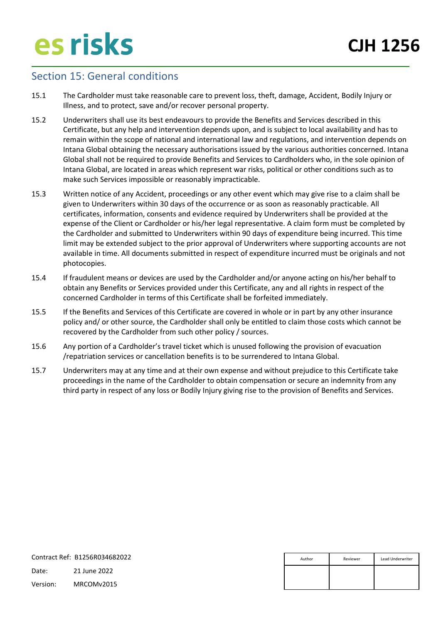### <span id="page-25-0"></span>Section 15: General conditions

- 15.1 The Cardholder must take reasonable care to prevent loss, theft, damage, Accident, Bodily Injury or Illness, and to protect, save and/or recover personal property.
- 15.2 Underwriters shall use its best endeavours to provide the Benefits and Services described in this Certificate, but any help and intervention depends upon, and is subject to local availability and has to remain within the scope of national and international law and regulations, and intervention depends on Intana Global obtaining the necessary authorisations issued by the various authorities concerned. Intana Global shall not be required to provide Benefits and Services to Cardholders who, in the sole opinion of Intana Global, are located in areas which represent war risks, political or other conditions such as to make such Services impossible or reasonably impracticable.
- 15.3 Written notice of any Accident, proceedings or any other event which may give rise to a claim shall be given to Underwriters within 30 days of the occurrence or as soon as reasonably practicable. All certificates, information, consents and evidence required by Underwriters shall be provided at the expense of the Client or Cardholder or his/her legal representative. A claim form must be completed by the Cardholder and submitted to Underwriters within 90 days of expenditure being incurred. This time limit may be extended subject to the prior approval of Underwriters where supporting accounts are not available in time. All documents submitted in respect of expenditure incurred must be originals and not photocopies.
- 15.4 If fraudulent means or devices are used by the Cardholder and/or anyone acting on his/her behalf to obtain any Benefits or Services provided under this Certificate, any and all rights in respect of the concerned Cardholder in terms of this Certificate shall be forfeited immediately.
- 15.5 If the Benefits and Services of this Certificate are covered in whole or in part by any other insurance policy and/ or other source, the Cardholder shall only be entitled to claim those costs which cannot be recovered by the Cardholder from such other policy / sources.
- 15.6 Any portion of a Cardholder's travel ticket which is unused following the provision of evacuation /repatriation services or cancellation benefits is to be surrendered to Intana Global.
- 15.7 Underwriters may at any time and at their own expense and without prejudice to this Certificate take proceedings in the name of the Cardholder to obtain compensation or secure an indemnity from any third party in respect of any loss or Bodily Injury giving rise to the provision of Benefits and Services.

| Contract Ref: B1256R034682022 |              | Author | Reviewer | Lead Underwriter |
|-------------------------------|--------------|--------|----------|------------------|
| Date:                         | 21 June 2022 |        |          |                  |
| Version:                      | MRCOMv2015   |        |          |                  |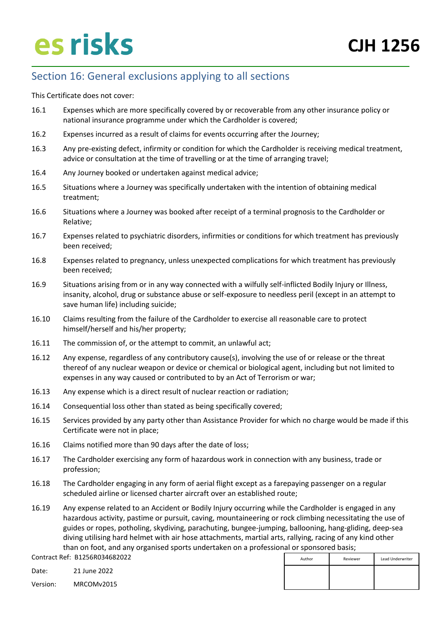### <span id="page-26-0"></span>Section 16: General exclusions applying to all sections

This Certificate does not cover:

- 16.1 Expenses which are more specifically covered by or recoverable from any other insurance policy or national insurance programme under which the Cardholder is covered;
- 16.2 Expenses incurred as a result of claims for events occurring after the Journey;
- 16.3 Any pre-existing defect, infirmity or condition for which the Cardholder is receiving medical treatment, advice or consultation at the time of travelling or at the time of arranging travel;
- 16.4 Any Journey booked or undertaken against medical advice;
- 16.5 Situations where a Journey was specifically undertaken with the intention of obtaining medical treatment;
- 16.6 Situations where a Journey was booked after receipt of a terminal prognosis to the Cardholder or Relative;
- 16.7 Expenses related to psychiatric disorders, infirmities or conditions for which treatment has previously been received;
- 16.8 Expenses related to pregnancy, unless unexpected complications for which treatment has previously been received;
- 16.9 Situations arising from or in any way connected with a wilfully self-inflicted Bodily Injury or Illness, insanity, alcohol, drug or substance abuse or self-exposure to needless peril (except in an attempt to save human life) including suicide;
- 16.10 Claims resulting from the failure of the Cardholder to exercise all reasonable care to protect himself/herself and his/her property;
- 16.11 The commission of, or the attempt to commit, an unlawful act;
- 16.12 Any expense, regardless of any contributory cause(s), involving the use of or release or the threat thereof of any nuclear weapon or device or chemical or biological agent, including but not limited to expenses in any way caused or contributed to by an Act of Terrorism or war;
- 16.13 Any expense which is a direct result of nuclear reaction or radiation;
- 16.14 Consequential loss other than stated as being specifically covered;
- 16.15 Services provided by any party other than Assistance Provider for which no charge would be made if this Certificate were not in place;
- 16.16 Claims notified more than 90 days after the date of loss;
- 16.17 The Cardholder exercising any form of hazardous work in connection with any business, trade or profession;
- 16.18 The Cardholder engaging in any form of aerial flight except as a farepaying passenger on a regular scheduled airline or licensed charter aircraft over an established route;
- 16.19 Any expense related to an Accident or Bodily Injury occurring while the Cardholder is engaged in any hazardous activity, pastime or pursuit, caving, mountaineering or rock climbing necessitating the use of guides or ropes, potholing, skydiving, parachuting, bungee-jumping, ballooning, hang-gliding, deep-sea diving utilising hard helmet with air hose attachments, martial arts, rallying, racing of any kind other than on foot, and any organised sports undertaken on a professional or sponsored basis;

Contract Ref: B1256R034682022

Date: 21 June 2022

| Author | Reviewer | Lead Underwriter |
|--------|----------|------------------|
|        |          |                  |
|        |          |                  |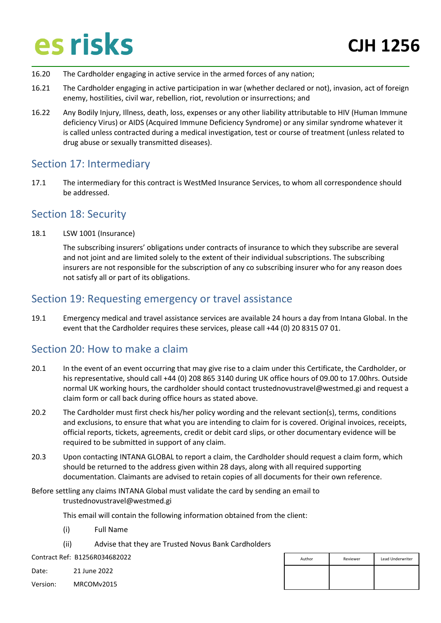- 16.20 The Cardholder engaging in active service in the armed forces of any nation;
- 16.21 The Cardholder engaging in active participation in war (whether declared or not), invasion, act of foreign enemy, hostilities, civil war, rebellion, riot, revolution or insurrections; and
- 16.22 Any Bodily Injury, Illness, death, loss, expenses or any other liability attributable to HIV (Human Immune deficiency Virus) or AIDS (Acquired Immune Deficiency Syndrome) or any similar syndrome whatever it is called unless contracted during a medical investigation, test or course of treatment (unless related to drug abuse or sexually transmitted diseases).

### <span id="page-27-0"></span>Section 17: Intermediary

17.1 The intermediary for this contract is WestMed Insurance Services, to whom all correspondence should be addressed.

### <span id="page-27-1"></span>Section 18: Security

18.1 LSW 1001 (Insurance)

The subscribing insurers' obligations under contracts of insurance to which they subscribe are several and not joint and are limited solely to the extent of their individual subscriptions. The subscribing insurers are not responsible for the subscription of any co subscribing insurer who for any reason does not satisfy all or part of its obligations.

### <span id="page-27-2"></span>Section 19: Requesting emergency or travel assistance

19.1 Emergency medical and travel assistance services are available 24 hours a day from Intana Global. In the event that the Cardholder requires these services, please call +44 (0) 20 8315 07 01.

### <span id="page-27-3"></span>Section 20: How to make a claim

- 20.1 In the event of an event occurring that may give rise to a claim under this Certificate, the Cardholder, or his representative, should call +44 (0) 208 865 3140 during UK office hours of 09.00 to 17.00hrs. Outside normal UK working hours, the cardholder should contact trustednovustravel@westmed.gi and request a claim form or call back during office hours as stated above.
- 20.2 The Cardholder must first check his/her policy wording and the relevant section(s), terms, conditions and exclusions, to ensure that what you are intending to claim for is covered. Original invoices, receipts, official reports, tickets, agreements, credit or debit card slips, or other documentary evidence will be required to be submitted in support of any claim.
- 20.3 Upon contacting INTANA GLOBAL to report a claim, the Cardholder should request a claim form, which should be returned to the address given within 28 days, along with all required supporting documentation. Claimants are advised to retain copies of all documents for their own reference.

Before settling any claims INTANA Global must validate the card by sending an email to trustednovustravel@westmed.gi

This email will contain the following information obtained from the client:

- (i) Full Name
- (ii) Advise that they are Trusted Novus Bank Cardholders

Contract Ref: B1256R034682022

Date: 21 June 2022

| Author | Reviewer | Lead Underwriter |
|--------|----------|------------------|
|        |          |                  |
|        |          |                  |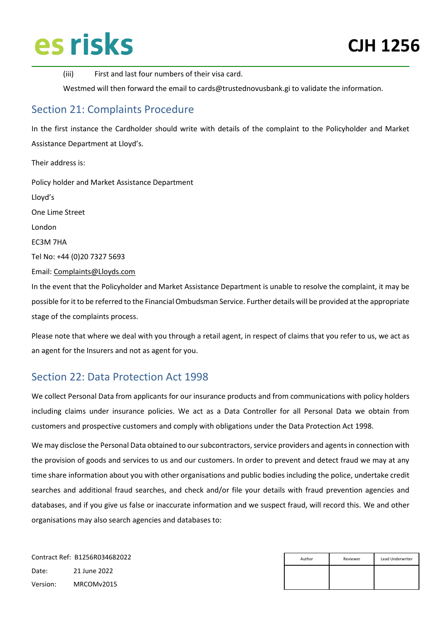(iii) First and last four numbers of their visa card.

Westmed will then forward the email to cards@trustednovusbank.gi to validate the information.

### <span id="page-28-0"></span>Section 21: Complaints Procedure

In the first instance the Cardholder should write with details of the complaint to the Policyholder and Market Assistance Department at Lloyd's.

Their address is: Policy holder and Market Assistance Department Lloyd's One Lime Street London EC3M 7HA Tel No: +44 (0)20 7327 5693 Email[: Complaints@Lloyds.com](mailto:Complaints@Lloyds.com) In the event that the Policyholder and Market Assistance Department is unable to resolve the complaint, it may be possible for it to be referred to the Financial Ombudsman Service. Further details will be provided at the appropriate stage of the complaints process.

Please note that where we deal with you through a retail agent, in respect of claims that you refer to us, we act as an agent for the Insurers and not as agent for you.

### <span id="page-28-1"></span>Section 22: Data Protection Act 1998

We collect Personal Data from applicants for our insurance products and from communications with policy holders including claims under insurance policies. We act as a Data Controller for all Personal Data we obtain from customers and prospective customers and comply with obligations under the Data Protection Act 1998.

We may disclose the Personal Data obtained to our subcontractors, service providers and agents in connection with the provision of goods and services to us and our customers. In order to prevent and detect fraud we may at any time share information about you with other organisations and public bodies including the police, undertake credit searches and additional fraud searches, and check and/or file your details with fraud prevention agencies and databases, and if you give us false or inaccurate information and we suspect fraud, will record this. We and other organisations may also search agencies and databases to:

| Author | Reviewer | Lead Underwriter |
|--------|----------|------------------|
|        |          |                  |
|        |          |                  |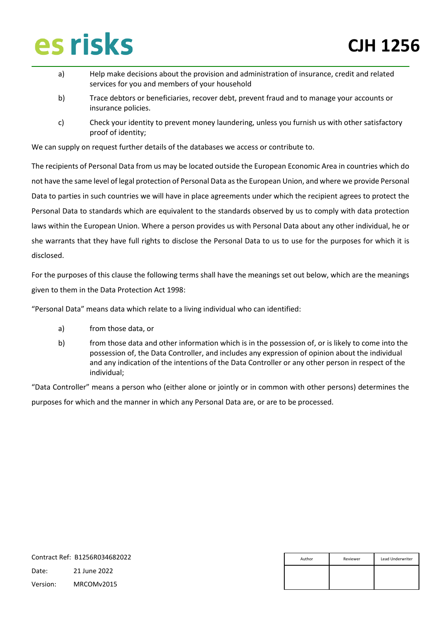- a) Help make decisions about the provision and administration of insurance, credit and related services for you and members of your household
- b) Trace debtors or beneficiaries, recover debt, prevent fraud and to manage your accounts or insurance policies.
- c) Check your identity to prevent money laundering, unless you furnish us with other satisfactory proof of identity;

We can supply on request further details of the databases we access or contribute to.

The recipients of Personal Data from us may be located outside the European Economic Area in countries which do not have the same level of legal protection of Personal Data as the European Union, and where we provide Personal Data to parties in such countries we will have in place agreements under which the recipient agrees to protect the Personal Data to standards which are equivalent to the standards observed by us to comply with data protection laws within the European Union. Where a person provides us with Personal Data about any other individual, he or she warrants that they have full rights to disclose the Personal Data to us to use for the purposes for which it is disclosed.

For the purposes of this clause the following terms shall have the meanings set out below, which are the meanings given to them in the Data Protection Act 1998:

"Personal Data" means data which relate to a living individual who can identified:

- a) from those data, or
- b) from those data and other information which is in the possession of, or is likely to come into the possession of, the Data Controller, and includes any expression of opinion about the individual and any indication of the intentions of the Data Controller or any other person in respect of the individual;

"Data Controller" means a person who (either alone or jointly or in common with other persons) determines the purposes for which and the manner in which any Personal Data are, or are to be processed.

|          | Contract Ref: B1256R034682022 |  | Reviewer | Lead Underwriter |
|----------|-------------------------------|--|----------|------------------|
| Date:    | 21 June 2022                  |  |          |                  |
| Version: | MRCOMv2015                    |  |          |                  |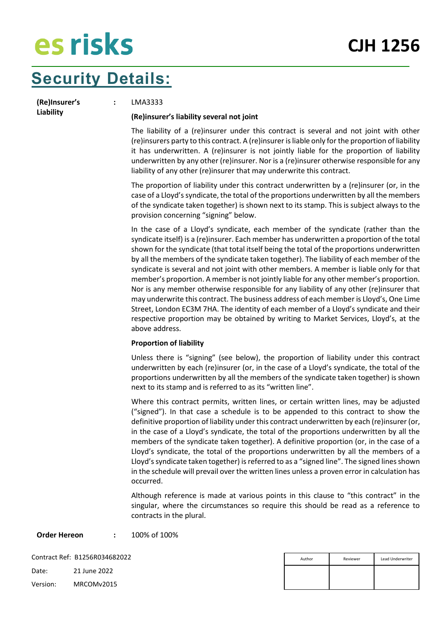### **Security Details:**

**(Re)Insurer's Liability**

**:** LMA3333

#### **(Re)insurer's liability several not joint**

The liability of a (re)insurer under this contract is several and not joint with other (re)insurers party to this contract. A (re)insurer is liable only for the proportion of liability it has underwritten. A (re)insurer is not jointly liable for the proportion of liability underwritten by any other (re)insurer. Nor is a (re)insurer otherwise responsible for any liability of any other (re)insurer that may underwrite this contract.

The proportion of liability under this contract underwritten by a (re)insurer (or, in the case of a Lloyd's syndicate, the total of the proportions underwritten by all the members of the syndicate taken together) is shown next to its stamp. This is subject always to the provision concerning "signing" below.

In the case of a Lloyd's syndicate, each member of the syndicate (rather than the syndicate itself) is a (re)insurer. Each member has underwritten a proportion of the total shown for the syndicate (that total itself being the total of the proportions underwritten by all the members of the syndicate taken together). The liability of each member of the syndicate is several and not joint with other members. A member is liable only for that member's proportion. A member is not jointly liable for any other member's proportion. Nor is any member otherwise responsible for any liability of any other (re)insurer that may underwrite this contract. The business address of each member is Lloyd's, One Lime Street, London EC3M 7HA. The identity of each member of a Lloyd's syndicate and their respective proportion may be obtained by writing to Market Services, Lloyd's, at the above address.

#### **Proportion of liability**

Unless there is "signing" (see below), the proportion of liability under this contract underwritten by each (re)insurer (or, in the case of a Lloyd's syndicate, the total of the proportions underwritten by all the members of the syndicate taken together) is shown next to its stamp and is referred to as its "written line".

Where this contract permits, written lines, or certain written lines, may be adjusted ("signed"). In that case a schedule is to be appended to this contract to show the definitive proportion of liability under this contract underwritten by each (re)insurer (or, in the case of a Lloyd's syndicate, the total of the proportions underwritten by all the members of the syndicate taken together). A definitive proportion (or, in the case of a Lloyd's syndicate, the total of the proportions underwritten by all the members of a Lloyd's syndicate taken together) is referred to as a "signed line". The signed lines shown in the schedule will prevail over the written lines unless a proven error in calculation has occurred.

Although reference is made at various points in this clause to "this contract" in the singular, where the circumstances so require this should be read as a reference to contracts in the plural.

**Order Hereon :** 100% of 100%

| Author | Reviewer | Lead Underwriter |
|--------|----------|------------------|
|        |          |                  |
|        |          |                  |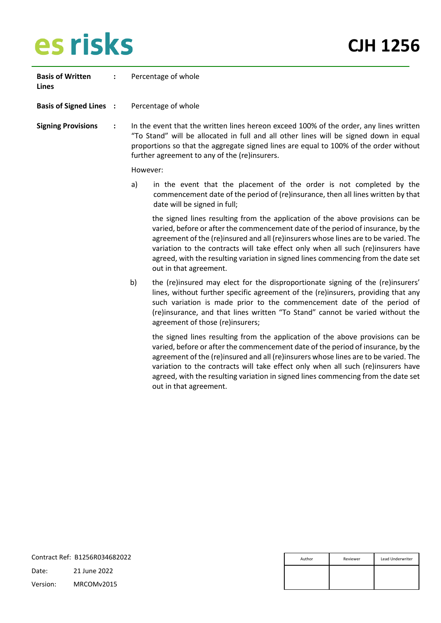| <b>Basis of Written</b><br>Lines |                |          | Percentage of whole                                                                                                                                                                                                                                                                                                                                                                                                                                          |  |  |
|----------------------------------|----------------|----------|--------------------------------------------------------------------------------------------------------------------------------------------------------------------------------------------------------------------------------------------------------------------------------------------------------------------------------------------------------------------------------------------------------------------------------------------------------------|--|--|
| <b>Basis of Signed Lines :</b>   |                |          | Percentage of whole                                                                                                                                                                                                                                                                                                                                                                                                                                          |  |  |
| <b>Signing Provisions</b>        | $\ddot{\cdot}$ |          | In the event that the written lines hereon exceed 100% of the order, any lines written<br>"To Stand" will be allocated in full and all other lines will be signed down in equal<br>proportions so that the aggregate signed lines are equal to 100% of the order without<br>further agreement to any of the (re)insurers.                                                                                                                                    |  |  |
|                                  |                | However: |                                                                                                                                                                                                                                                                                                                                                                                                                                                              |  |  |
|                                  |                | a)       | in the event that the placement of the order is not completed by the<br>commencement date of the period of (re)insurance, then all lines written by that<br>date will be signed in full;                                                                                                                                                                                                                                                                     |  |  |
|                                  |                |          | the signed lines resulting from the application of the above provisions can be<br>varied, before or after the commencement date of the period of insurance, by the<br>agreement of the (re)insured and all (re)insurers whose lines are to be varied. The<br>variation to the contracts will take effect only when all such (re)insurers have<br>agreed, with the resulting variation in signed lines commencing from the date set<br>out in that agreement. |  |  |
|                                  |                | b)       | the (re)insured may elect for the disproportionate signing of the (re)insurers'<br>lines, without further specific agreement of the (re)insurers, providing that any<br>such variation is made prior to the commencement date of the period of<br>(re)insurance, and that lines written "To Stand" cannot be varied without the<br>agreement of those (re)insurers;                                                                                          |  |  |
|                                  |                |          | the signed lines resulting from the application of the above provisions can be<br>varied, before or after the commencement date of the period of insurance, by the<br>agreement of the (re)insured and all (re)insurers whose lines are to be varied. The<br>variation to the contracts will take effect only when all such (re)insurers have<br>agreed, with the resulting variation in signed lines commencing from the date set                           |  |  |

| Contract Ref: B1256R034682022 |              | Author | Reviewer | Lead Underwriter |
|-------------------------------|--------------|--------|----------|------------------|
| Date:                         | 21 June 2022 |        |          |                  |
| Version:                      | MRCOMv2015   |        |          |                  |

out in that agreement.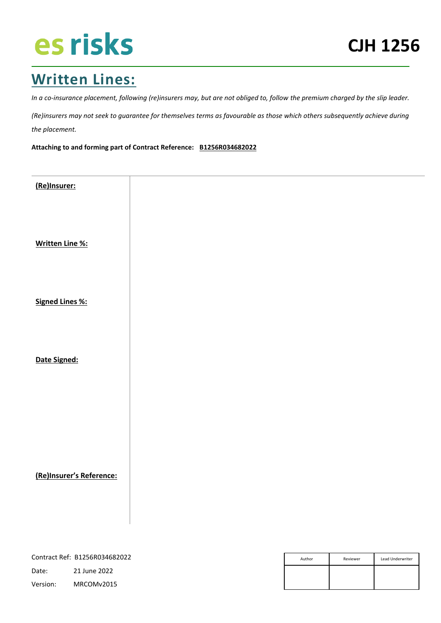### **Written Lines:**

*In a co-insurance placement, following (re)insurers may, but are not obliged to, follow the premium charged by the slip leader.*

*(Re)insurers may not seek to guarantee for themselves terms as favourable as those which others subsequently achieve during the placement.*

**Attaching to and forming part of Contract Reference: B1256R034682022**

| (Re)Insurer:             |  |  |
|--------------------------|--|--|
|                          |  |  |
|                          |  |  |
|                          |  |  |
|                          |  |  |
|                          |  |  |
|                          |  |  |
|                          |  |  |
| <b>Written Line %:</b>   |  |  |
|                          |  |  |
|                          |  |  |
|                          |  |  |
|                          |  |  |
|                          |  |  |
|                          |  |  |
| <b>Signed Lines %:</b>   |  |  |
|                          |  |  |
|                          |  |  |
|                          |  |  |
|                          |  |  |
|                          |  |  |
|                          |  |  |
|                          |  |  |
| Date Signed:             |  |  |
|                          |  |  |
|                          |  |  |
|                          |  |  |
|                          |  |  |
|                          |  |  |
|                          |  |  |
|                          |  |  |
|                          |  |  |
|                          |  |  |
|                          |  |  |
|                          |  |  |
|                          |  |  |
|                          |  |  |
|                          |  |  |
| (Re)Insurer's Reference: |  |  |
|                          |  |  |
|                          |  |  |
|                          |  |  |
|                          |  |  |
|                          |  |  |
|                          |  |  |

| Contract Ref: B1256R034682022 |              | Author | Reviewer | Lead Underwriter |
|-------------------------------|--------------|--------|----------|------------------|
| Date:                         | 21 June 2022 |        |          |                  |
| Version:                      | MRCOMv2015   |        |          |                  |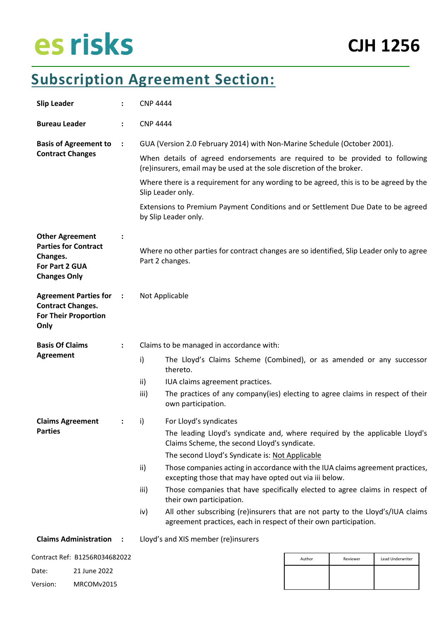### **Subscription Agreement Section:**

| <b>Slip Leader</b>                                                                                         |                                                                                                                               | <b>CNP 4444</b>                                                                                                  |                                                                                                                                                                                |        |          |                  |  |
|------------------------------------------------------------------------------------------------------------|-------------------------------------------------------------------------------------------------------------------------------|------------------------------------------------------------------------------------------------------------------|--------------------------------------------------------------------------------------------------------------------------------------------------------------------------------|--------|----------|------------------|--|
| <b>Bureau Leader</b>                                                                                       | ÷                                                                                                                             | <b>CNP 4444</b>                                                                                                  |                                                                                                                                                                                |        |          |                  |  |
| <b>Basis of Agreement to</b>                                                                               | $\ddot{\cdot}$                                                                                                                |                                                                                                                  | GUA (Version 2.0 February 2014) with Non-Marine Schedule (October 2001).                                                                                                       |        |          |                  |  |
| <b>Contract Changes</b>                                                                                    |                                                                                                                               |                                                                                                                  | When details of agreed endorsements are required to be provided to following<br>(re)insurers, email may be used at the sole discretion of the broker.                          |        |          |                  |  |
|                                                                                                            |                                                                                                                               |                                                                                                                  | Where there is a requirement for any wording to be agreed, this is to be agreed by the<br>Slip Leader only.                                                                    |        |          |                  |  |
|                                                                                                            |                                                                                                                               |                                                                                                                  | Extensions to Premium Payment Conditions and or Settlement Due Date to be agreed<br>by Slip Leader only.                                                                       |        |          |                  |  |
| <b>Other Agreement</b><br><b>Parties for Contract</b><br>Changes.<br>For Part 2 GUA<br><b>Changes Only</b> | $\ddot{\cdot}$<br>Where no other parties for contract changes are so identified, Slip Leader only to agree<br>Part 2 changes. |                                                                                                                  |                                                                                                                                                                                |        |          |                  |  |
| <b>Agreement Parties for</b><br><b>Contract Changes.</b><br><b>For Their Proportion</b><br>Only            | $\ddot{\phantom{0}}$                                                                                                          | Not Applicable                                                                                                   |                                                                                                                                                                                |        |          |                  |  |
| <b>Basis Of Claims</b>                                                                                     | $\ddot{\cdot}$                                                                                                                |                                                                                                                  | Claims to be managed in accordance with:                                                                                                                                       |        |          |                  |  |
| <b>Agreement</b>                                                                                           |                                                                                                                               | $\mathsf{i}$                                                                                                     | The Lloyd's Claims Scheme (Combined), or as amended or any successor<br>thereto.                                                                                               |        |          |                  |  |
|                                                                                                            |                                                                                                                               | ii)                                                                                                              | IUA claims agreement practices.                                                                                                                                                |        |          |                  |  |
|                                                                                                            |                                                                                                                               | iii)                                                                                                             | The practices of any company(ies) electing to agree claims in respect of their<br>own participation.                                                                           |        |          |                  |  |
| <b>Claims Agreement</b>                                                                                    | ÷                                                                                                                             | i)                                                                                                               | For Lloyd's syndicates                                                                                                                                                         |        |          |                  |  |
| <b>Parties</b>                                                                                             |                                                                                                                               |                                                                                                                  | The leading Lloyd's syndicate and, where required by the applicable Lloyd's<br>Claims Scheme, the second Lloyd's syndicate.<br>The second Lloyd's Syndicate is: Not Applicable |        |          |                  |  |
|                                                                                                            |                                                                                                                               | ii)                                                                                                              | Those companies acting in accordance with the IUA claims agreement practices,                                                                                                  |        |          |                  |  |
|                                                                                                            |                                                                                                                               |                                                                                                                  | excepting those that may have opted out via iii below.                                                                                                                         |        |          |                  |  |
|                                                                                                            |                                                                                                                               | Those companies that have specifically elected to agree claims in respect of<br>iii)<br>their own participation. |                                                                                                                                                                                |        |          |                  |  |
|                                                                                                            |                                                                                                                               | iv)                                                                                                              | All other subscribing (re)insurers that are not party to the Lloyd's/IUA claims<br>agreement practices, each in respect of their own participation.                            |        |          |                  |  |
| <b>Claims Administration</b>                                                                               |                                                                                                                               |                                                                                                                  | Lloyd's and XIS member (re)insurers                                                                                                                                            |        |          |                  |  |
| Contract Ref: B1256R034682022                                                                              |                                                                                                                               |                                                                                                                  |                                                                                                                                                                                | Author | Reviewer | Lead Underwriter |  |
| Date:<br>21 June 2022                                                                                      |                                                                                                                               |                                                                                                                  |                                                                                                                                                                                |        |          |                  |  |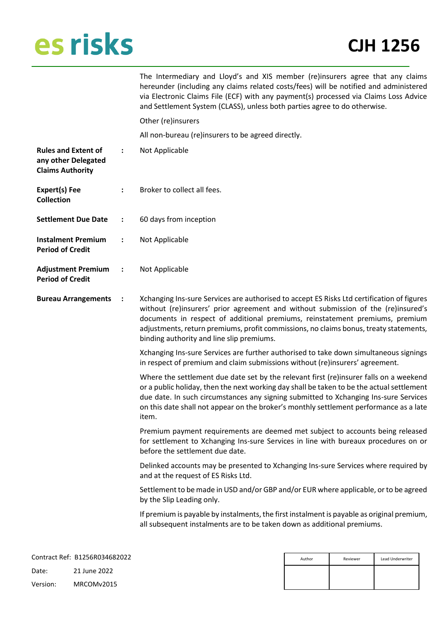**any other Delegated** 

**Period of Credit**

**Period of Credit**

### **CJH 1256**

| The Intermediary and Lloyd's and XIS member (re)insurers agree that any claims        |
|---------------------------------------------------------------------------------------|
| hereunder (including any claims related costs/fees) will be notified and administered |
| via Electronic Claims File (ECF) with any payment(s) processed via Claims Loss Advice |
| and Settlement System (CLASS), unless both parties agree to do otherwise.             |
|                                                                                       |

Other (re)insurers

All non-bureau (re)insurers to be agreed directly.

| <b>Rules and Extent of</b> |  | Not Applicable |
|----------------------------|--|----------------|
|----------------------------|--|----------------|

| <b>Claims Authority</b> |                             |
|-------------------------|-----------------------------|
| Expert(s) Fee           | Broker to collect all fees. |
| Collection              |                             |

- **Settlement Due Date :** 60 days from inception
- **Instalment Premium :** Not Applicable

| <b>Adjustment Premium</b> | Not Applicable |
|---------------------------|----------------|
|                           |                |

**Bureau Arrangements :** Xchanging Ins-sure Services are authorised to accept ES Risks Ltd certification of figures without (re)insurers' prior agreement and without submission of the (re)insured's documents in respect of additional premiums, reinstatement premiums, premium adjustments, return premiums, profit commissions, no claims bonus, treaty statements, binding authority and line slip premiums.

> Xchanging Ins-sure Services are further authorised to take down simultaneous signings in respect of premium and claim submissions without (re)insurers' agreement.

> Where the settlement due date set by the relevant first (re)insurer falls on a weekend or a public holiday, then the next working day shall be taken to be the actual settlement due date. In such circumstances any signing submitted to Xchanging Ins-sure Services on this date shall not appear on the broker's monthly settlement performance as a late item.

> Premium payment requirements are deemed met subject to accounts being released for settlement to Xchanging Ins-sure Services in line with bureaux procedures on or before the settlement due date.

> Delinked accounts may be presented to Xchanging Ins-sure Services where required by and at the request of ES Risks Ltd.

> Settlement to be made in USD and/or GBP and/or EUR where applicable, or to be agreed by the Slip Leading only.

> If premium is payable by instalments, the first instalment is payable as original premium, all subsequent instalments are to be taken down as additional premiums.

|          | Contract Ref: B1256R034682022 | Author | Reviewer | Lead Underwriter |
|----------|-------------------------------|--------|----------|------------------|
| Date:    | 21 June 2022                  |        |          |                  |
| Version: | MRCOMv2015                    |        |          |                  |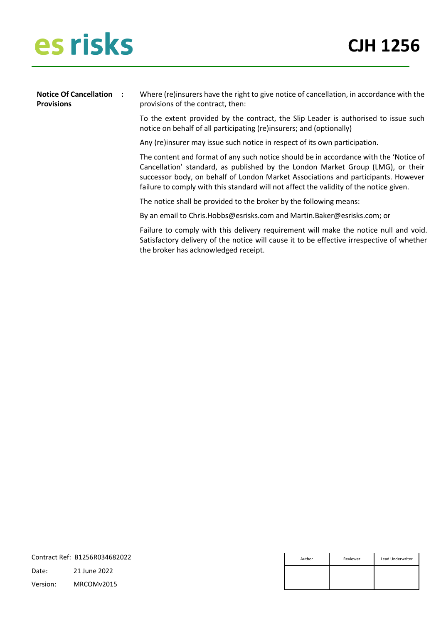**Notice Of Cancellation Provisions :** Where (re)insurers have the right to give notice of cancellation, in accordance with the provisions of the contract, then: To the extent provided by the contract, the Slip Leader is authorised to issue such notice on behalf of all participating (re)insurers; and (optionally)

Any (re)insurer may issue such notice in respect of its own participation.

The content and format of any such notice should be in accordance with the 'Notice of Cancellation' standard, as published by the London Market Group (LMG), or their successor body, on behalf of London Market Associations and participants. However failure to comply with this standard will not affect the validity of the notice given.

The notice shall be provided to the broker by the following means:

By an email to Chris.Hobbs@esrisks.com and Martin.Baker@esrisks.com; or

Failure to comply with this delivery requirement will make the notice null and void. Satisfactory delivery of the notice will cause it to be effective irrespective of whether the broker has acknowledged receipt.

|          | Contract Ref: B1256R034682022 | Author | Reviewer | Lead Underwriter |
|----------|-------------------------------|--------|----------|------------------|
| Date:    | 21 June 2022                  |        |          |                  |
| Version: | MRCOMv2015                    |        |          |                  |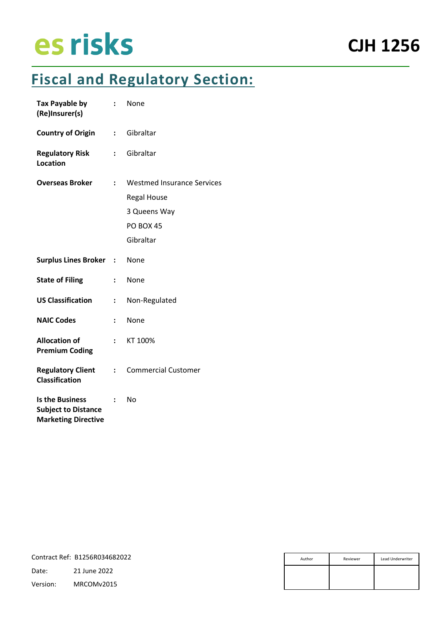### **Fiscal and Regulatory Section:**

| <b>Tax Payable by</b><br>(Re)Insurer(s)                                            | $\ddot{\cdot}$       | None                                                                                              |
|------------------------------------------------------------------------------------|----------------------|---------------------------------------------------------------------------------------------------|
| <b>Country of Origin</b>                                                           | $\ddot{\phantom{a}}$ | Gibraltar                                                                                         |
| <b>Regulatory Risk</b><br><b>Location</b>                                          |                      | Gibraltar                                                                                         |
| <b>Overseas Broker</b>                                                             | $\ddot{\phantom{a}}$ | <b>Westmed Insurance Services</b><br><b>Regal House</b><br>3 Queens Way<br>PO BOX 45<br>Gibraltar |
| <b>Surplus Lines Broker</b>                                                        | $\ddot{\cdot}$       | None                                                                                              |
| <b>State of Filing</b>                                                             | ÷                    | None                                                                                              |
| <b>US Classification</b>                                                           | :                    | Non-Regulated                                                                                     |
| <b>NAIC Codes</b>                                                                  | :                    | None                                                                                              |
| <b>Allocation of</b><br><b>Premium Coding</b>                                      | $\ddot{\phantom{0}}$ | KT 100%                                                                                           |
| <b>Regulatory Client</b><br><b>Classification</b>                                  | $\ddot{\phantom{a}}$ | <b>Commercial Customer</b>                                                                        |
| <b>Is the Business</b><br><b>Subject to Distance</b><br><b>Marketing Directive</b> |                      | No                                                                                                |

|          | Contract Ref: B1256R034682022 | Author | Reviewer | Lead Underwriter |
|----------|-------------------------------|--------|----------|------------------|
| Date:    | 21 June 2022                  |        |          |                  |
| Version: | MRCOMv2015                    |        |          |                  |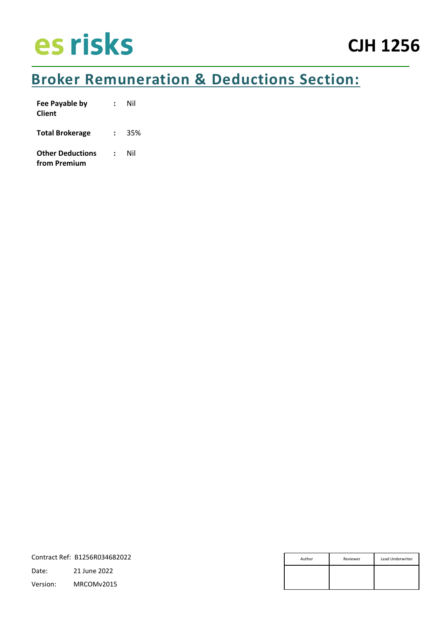### **Broker Remuneration & Deductions Section:**

| Fee Payable by<br><b>Client</b>         |               | Nil |
|-----------------------------------------|---------------|-----|
| <b>Total Brokerage</b>                  | $\mathbf{L}$  | 35% |
| <b>Other Deductions</b><br>from Premium | $\mathcal{L}$ | Nil |

| Contract Ref: B1256R034682022 |              | Author | Reviewer | Lead Underwriter |
|-------------------------------|--------------|--------|----------|------------------|
| Date:                         | 21 June 2022 |        |          |                  |
| Version:                      | MRCOMv2015   |        |          |                  |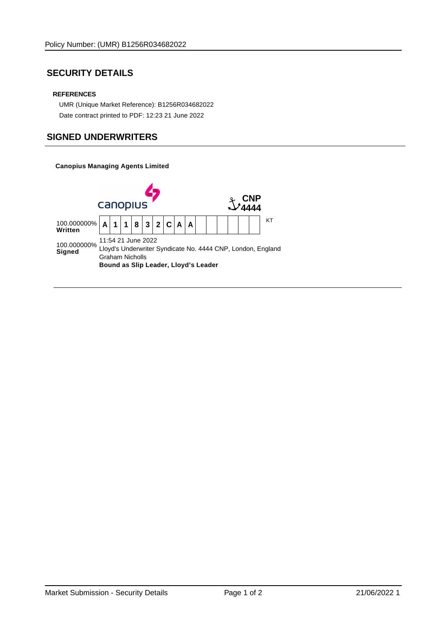### **SECURITY DETAILS**

#### **REFERENCES**

 UMR (Unique Market Reference): B1256R034682022 Date contract printed to PDF: 12:23 21 June 2022

### **SIGNED UNDERWRITERS**

**Canopius Managing Agents Limited**